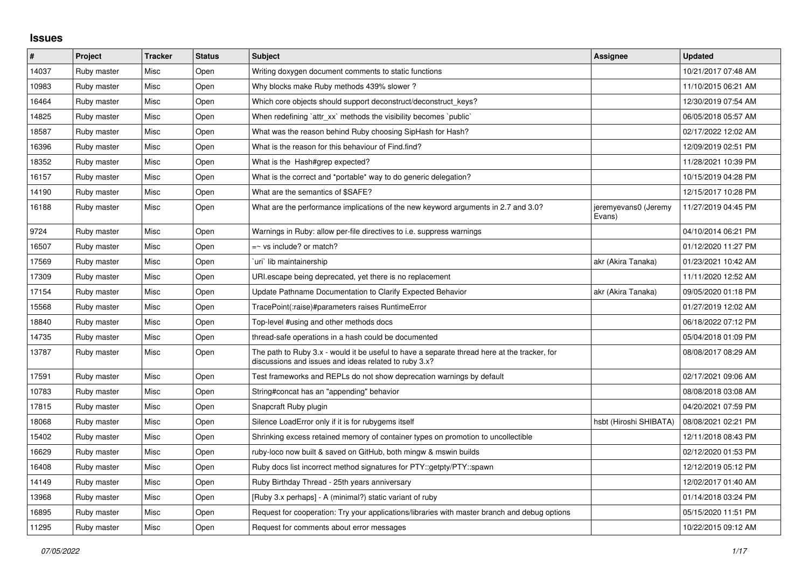## **Issues**

| $\vert$ # | Project     | <b>Tracker</b> | <b>Status</b> | <b>Subject</b>                                                                                                                                        | Assignee                       | <b>Updated</b>      |
|-----------|-------------|----------------|---------------|-------------------------------------------------------------------------------------------------------------------------------------------------------|--------------------------------|---------------------|
| 14037     | Ruby master | Misc           | Open          | Writing doxygen document comments to static functions                                                                                                 |                                | 10/21/2017 07:48 AM |
| 10983     | Ruby master | Misc           | Open          | Why blocks make Ruby methods 439% slower?                                                                                                             |                                | 11/10/2015 06:21 AM |
| 16464     | Ruby master | Misc           | Open          | Which core objects should support deconstruct/deconstruct_keys?                                                                                       |                                | 12/30/2019 07:54 AM |
| 14825     | Ruby master | Misc           | Open          | When redefining 'attr xx' methods the visibility becomes 'public'                                                                                     |                                | 06/05/2018 05:57 AM |
| 18587     | Ruby master | Misc           | Open          | What was the reason behind Ruby choosing SipHash for Hash?                                                                                            |                                | 02/17/2022 12:02 AM |
| 16396     | Ruby master | Misc           | Open          | What is the reason for this behaviour of Find.find?                                                                                                   |                                | 12/09/2019 02:51 PM |
| 18352     | Ruby master | Misc           | Open          | What is the Hash#grep expected?                                                                                                                       |                                | 11/28/2021 10:39 PM |
| 16157     | Ruby master | Misc           | Open          | What is the correct and *portable* way to do generic delegation?                                                                                      |                                | 10/15/2019 04:28 PM |
| 14190     | Ruby master | Misc           | Open          | What are the semantics of \$SAFE?                                                                                                                     |                                | 12/15/2017 10:28 PM |
| 16188     | Ruby master | Misc           | Open          | What are the performance implications of the new keyword arguments in 2.7 and 3.0?                                                                    | jeremyevans0 (Jeremy<br>Evans) | 11/27/2019 04:45 PM |
| 9724      | Ruby master | Misc           | Open          | Warnings in Ruby: allow per-file directives to i.e. suppress warnings                                                                                 |                                | 04/10/2014 06:21 PM |
| 16507     | Ruby master | Misc           | Open          | $=$ vs include? or match?                                                                                                                             |                                | 01/12/2020 11:27 PM |
| 17569     | Ruby master | Misc           | Open          | uri` lib maintainership                                                                                                                               | akr (Akira Tanaka)             | 01/23/2021 10:42 AM |
| 17309     | Ruby master | Misc           | Open          | URI escape being deprecated, yet there is no replacement                                                                                              |                                | 11/11/2020 12:52 AM |
| 17154     | Ruby master | Misc           | Open          | Update Pathname Documentation to Clarify Expected Behavior                                                                                            | akr (Akira Tanaka)             | 09/05/2020 01:18 PM |
| 15568     | Ruby master | Misc           | Open          | TracePoint(:raise)#parameters raises RuntimeError                                                                                                     |                                | 01/27/2019 12:02 AM |
| 18840     | Ruby master | Misc           | Open          | Top-level #using and other methods docs                                                                                                               |                                | 06/18/2022 07:12 PM |
| 14735     | Ruby master | Misc           | Open          | thread-safe operations in a hash could be documented                                                                                                  |                                | 05/04/2018 01:09 PM |
| 13787     | Ruby master | Misc           | Open          | The path to Ruby 3.x - would it be useful to have a separate thread here at the tracker, for<br>discussions and issues and ideas related to ruby 3.x? |                                | 08/08/2017 08:29 AM |
| 17591     | Ruby master | Misc           | Open          | Test frameworks and REPLs do not show deprecation warnings by default                                                                                 |                                | 02/17/2021 09:06 AM |
| 10783     | Ruby master | Misc           | Open          | String#concat has an "appending" behavior                                                                                                             |                                | 08/08/2018 03:08 AM |
| 17815     | Ruby master | Misc           | Open          | Snapcraft Ruby plugin                                                                                                                                 |                                | 04/20/2021 07:59 PM |
| 18068     | Ruby master | Misc           | Open          | Silence LoadError only if it is for rubygems itself                                                                                                   | hsbt (Hiroshi SHIBATA)         | 08/08/2021 02:21 PM |
| 15402     | Ruby master | Misc           | Open          | Shrinking excess retained memory of container types on promotion to uncollectible                                                                     |                                | 12/11/2018 08:43 PM |
| 16629     | Ruby master | Misc           | Open          | ruby-loco now built & saved on GitHub, both mingw & mswin builds                                                                                      |                                | 02/12/2020 01:53 PM |
| 16408     | Ruby master | Misc           | Open          | Ruby docs list incorrect method signatures for PTY::getpty/PTY::spawn                                                                                 |                                | 12/12/2019 05:12 PM |
| 14149     | Ruby master | Misc           | Open          | Ruby Birthday Thread - 25th years anniversary                                                                                                         |                                | 12/02/2017 01:40 AM |
| 13968     | Ruby master | Misc           | Open          | [Ruby 3.x perhaps] - A (minimal?) static variant of ruby                                                                                              |                                | 01/14/2018 03:24 PM |
| 16895     | Ruby master | Misc           | Open          | Request for cooperation: Try your applications/libraries with master branch and debug options                                                         |                                | 05/15/2020 11:51 PM |
| 11295     | Ruby master | Misc           | Open          | Request for comments about error messages                                                                                                             |                                | 10/22/2015 09:12 AM |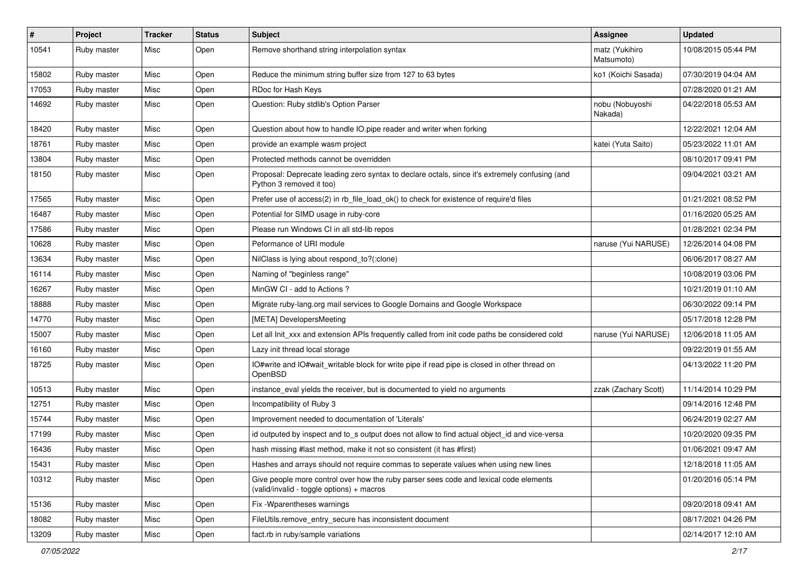| #     | Project     | <b>Tracker</b> | <b>Status</b> | Subject                                                                                                                            | Assignee                     | <b>Updated</b>      |
|-------|-------------|----------------|---------------|------------------------------------------------------------------------------------------------------------------------------------|------------------------------|---------------------|
| 10541 | Ruby master | Misc           | Open          | Remove shorthand string interpolation syntax                                                                                       | matz (Yukihiro<br>Matsumoto) | 10/08/2015 05:44 PM |
| 15802 | Ruby master | Misc           | Open          | Reduce the minimum string buffer size from 127 to 63 bytes                                                                         | ko1 (Koichi Sasada)          | 07/30/2019 04:04 AM |
| 17053 | Ruby master | Misc           | Open          | RDoc for Hash Keys                                                                                                                 |                              | 07/28/2020 01:21 AM |
| 14692 | Ruby master | Misc           | Open          | Question: Ruby stdlib's Option Parser                                                                                              | nobu (Nobuyoshi<br>Nakada)   | 04/22/2018 05:53 AM |
| 18420 | Ruby master | Misc           | Open          | Question about how to handle IO.pipe reader and writer when forking                                                                |                              | 12/22/2021 12:04 AM |
| 18761 | Ruby master | Misc           | Open          | provide an example wasm project                                                                                                    | katei (Yuta Saito)           | 05/23/2022 11:01 AM |
| 13804 | Ruby master | Misc           | Open          | Protected methods cannot be overridden                                                                                             |                              | 08/10/2017 09:41 PM |
| 18150 | Ruby master | Misc           | Open          | Proposal: Deprecate leading zero syntax to declare octals, since it's extremely confusing (and<br>Python 3 removed it too)         |                              | 09/04/2021 03:21 AM |
| 17565 | Ruby master | Misc           | Open          | Prefer use of access(2) in rb_file_load_ok() to check for existence of require'd files                                             |                              | 01/21/2021 08:52 PM |
| 16487 | Ruby master | Misc           | Open          | Potential for SIMD usage in ruby-core                                                                                              |                              | 01/16/2020 05:25 AM |
| 17586 | Ruby master | Misc           | Open          | Please run Windows CI in all std-lib repos                                                                                         |                              | 01/28/2021 02:34 PM |
| 10628 | Ruby master | Misc           | Open          | Peformance of URI module                                                                                                           | naruse (Yui NARUSE)          | 12/26/2014 04:08 PM |
| 13634 | Ruby master | Misc           | Open          | NilClass is lying about respond_to?(:clone)                                                                                        |                              | 06/06/2017 08:27 AM |
| 16114 | Ruby master | Misc           | Open          | Naming of "beginless range"                                                                                                        |                              | 10/08/2019 03:06 PM |
| 16267 | Ruby master | Misc           | Open          | MinGW CI - add to Actions?                                                                                                         |                              | 10/21/2019 01:10 AM |
| 18888 | Ruby master | Misc           | Open          | Migrate ruby-lang.org mail services to Google Domains and Google Workspace                                                         |                              | 06/30/2022 09:14 PM |
| 14770 | Ruby master | Misc           | Open          | [META] DevelopersMeeting                                                                                                           |                              | 05/17/2018 12:28 PM |
| 15007 | Ruby master | Misc           | Open          | Let all Init xxx and extension APIs frequently called from init code paths be considered cold                                      | naruse (Yui NARUSE)          | 12/06/2018 11:05 AM |
| 16160 | Ruby master | Misc           | Open          | Lazy init thread local storage                                                                                                     |                              | 09/22/2019 01:55 AM |
| 18725 | Ruby master | Misc           | Open          | IO#write and IO#wait_writable block for write pipe if read pipe is closed in other thread on<br>OpenBSD                            |                              | 04/13/2022 11:20 PM |
| 10513 | Ruby master | Misc           | Open          | instance_eval yields the receiver, but is documented to yield no arguments                                                         | zzak (Zachary Scott)         | 11/14/2014 10:29 PM |
| 12751 | Ruby master | Misc           | Open          | Incompatibility of Ruby 3                                                                                                          |                              | 09/14/2016 12:48 PM |
| 15744 | Ruby master | Misc           | Open          | Improvement needed to documentation of 'Literals'                                                                                  |                              | 06/24/2019 02:27 AM |
| 17199 | Ruby master | Misc           | Open          | id outputed by inspect and to s output does not allow to find actual object id and vice-versa                                      |                              | 10/20/2020 09:35 PM |
| 16436 | Ruby master | Misc           | Open          | hash missing #last method, make it not so consistent (it has #first)                                                               |                              | 01/06/2021 09:47 AM |
| 15431 | Ruby master | Misc           | Open          | Hashes and arrays should not require commas to seperate values when using new lines                                                |                              | 12/18/2018 11:05 AM |
| 10312 | Ruby master | Misc           | Open          | Give people more control over how the ruby parser sees code and lexical code elements<br>(valid/invalid - toggle options) + macros |                              | 01/20/2016 05:14 PM |
| 15136 | Ruby master | Misc           | Open          | Fix - Wparentheses warnings                                                                                                        |                              | 09/20/2018 09:41 AM |
| 18082 | Ruby master | Misc           | Open          | FileUtils.remove entry secure has inconsistent document                                                                            |                              | 08/17/2021 04:26 PM |
| 13209 | Ruby master | Misc           | Open          | fact.rb in ruby/sample variations                                                                                                  |                              | 02/14/2017 12:10 AM |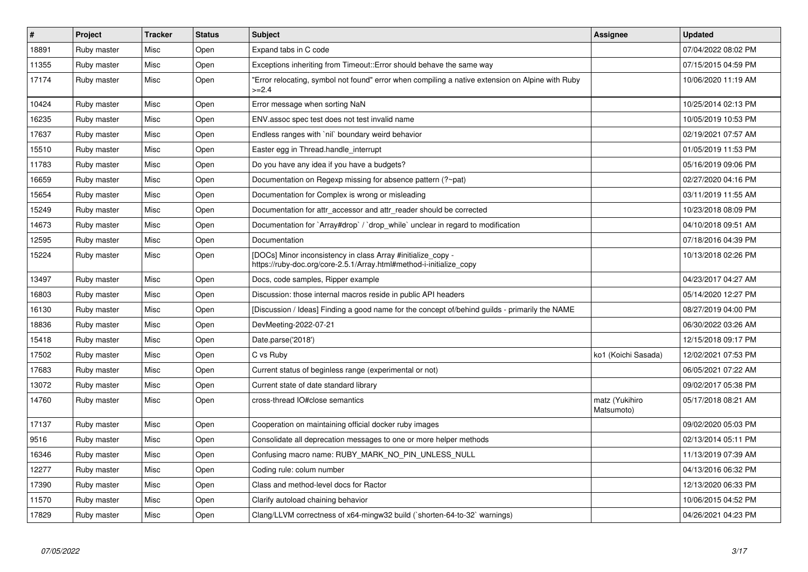| $\vert$ # | Project     | <b>Tracker</b> | <b>Status</b> | <b>Subject</b>                                                                                                                      | Assignee                     | <b>Updated</b>      |
|-----------|-------------|----------------|---------------|-------------------------------------------------------------------------------------------------------------------------------------|------------------------------|---------------------|
| 18891     | Ruby master | Misc           | Open          | Expand tabs in C code                                                                                                               |                              | 07/04/2022 08:02 PM |
| 11355     | Ruby master | Misc           | Open          | Exceptions inheriting from Timeout:: Error should behave the same way                                                               |                              | 07/15/2015 04:59 PM |
| 17174     | Ruby master | Misc           | Open          | 'Error relocating, symbol not found" error when compiling a native extension on Alpine with Ruby<br>$>=2.4$                         |                              | 10/06/2020 11:19 AM |
| 10424     | Ruby master | Misc           | Open          | Error message when sorting NaN                                                                                                      |                              | 10/25/2014 02:13 PM |
| 16235     | Ruby master | Misc           | Open          | ENV assoc spec test does not test invalid name                                                                                      |                              | 10/05/2019 10:53 PM |
| 17637     | Ruby master | Misc           | Open          | Endless ranges with `nil` boundary weird behavior                                                                                   |                              | 02/19/2021 07:57 AM |
| 15510     | Ruby master | Misc           | Open          | Easter egg in Thread.handle interrupt                                                                                               |                              | 01/05/2019 11:53 PM |
| 11783     | Ruby master | Misc           | Open          | Do you have any idea if you have a budgets?                                                                                         |                              | 05/16/2019 09:06 PM |
| 16659     | Ruby master | Misc           | Open          | Documentation on Regexp missing for absence pattern (?~pat)                                                                         |                              | 02/27/2020 04:16 PM |
| 15654     | Ruby master | Misc           | Open          | Documentation for Complex is wrong or misleading                                                                                    |                              | 03/11/2019 11:55 AM |
| 15249     | Ruby master | Misc           | Open          | Documentation for attr_accessor and attr_reader should be corrected                                                                 |                              | 10/23/2018 08:09 PM |
| 14673     | Ruby master | Misc           | Open          | Documentation for `Array#drop` / `drop_while` unclear in regard to modification                                                     |                              | 04/10/2018 09:51 AM |
| 12595     | Ruby master | Misc           | Open          | Documentation                                                                                                                       |                              | 07/18/2016 04:39 PM |
| 15224     | Ruby master | Misc           | Open          | [DOCs] Minor inconsistency in class Array #initialize copy -<br>https://ruby-doc.org/core-2.5.1/Array.html#method-i-initialize_copy |                              | 10/13/2018 02:26 PM |
| 13497     | Ruby master | Misc           | Open          | Docs, code samples, Ripper example                                                                                                  |                              | 04/23/2017 04:27 AM |
| 16803     | Ruby master | Misc           | Open          | Discussion: those internal macros reside in public API headers                                                                      |                              | 05/14/2020 12:27 PM |
| 16130     | Ruby master | Misc           | Open          | [Discussion / Ideas] Finding a good name for the concept of/behind guilds - primarily the NAME                                      |                              | 08/27/2019 04:00 PM |
| 18836     | Ruby master | Misc           | Open          | DevMeeting-2022-07-21                                                                                                               |                              | 06/30/2022 03:26 AM |
| 15418     | Ruby master | Misc           | Open          | Date.parse('2018')                                                                                                                  |                              | 12/15/2018 09:17 PM |
| 17502     | Ruby master | Misc           | Open          | C vs Ruby                                                                                                                           | ko1 (Koichi Sasada)          | 12/02/2021 07:53 PM |
| 17683     | Ruby master | Misc           | Open          | Current status of beginless range (experimental or not)                                                                             |                              | 06/05/2021 07:22 AM |
| 13072     | Ruby master | Misc           | Open          | Current state of date standard library                                                                                              |                              | 09/02/2017 05:38 PM |
| 14760     | Ruby master | Misc           | Open          | cross-thread IO#close semantics                                                                                                     | matz (Yukihiro<br>Matsumoto) | 05/17/2018 08:21 AM |
| 17137     | Ruby master | Misc           | Open          | Cooperation on maintaining official docker ruby images                                                                              |                              | 09/02/2020 05:03 PM |
| 9516      | Ruby master | Misc           | Open          | Consolidate all deprecation messages to one or more helper methods                                                                  |                              | 02/13/2014 05:11 PM |
| 16346     | Ruby master | Misc           | Open          | Confusing macro name: RUBY_MARK_NO_PIN_UNLESS_NULL                                                                                  |                              | 11/13/2019 07:39 AM |
| 12277     | Ruby master | Misc           | Open          | Coding rule: colum number                                                                                                           |                              | 04/13/2016 06:32 PM |
| 17390     | Ruby master | Misc           | Open          | Class and method-level docs for Ractor                                                                                              |                              | 12/13/2020 06:33 PM |
| 11570     | Ruby master | Misc           | Open          | Clarify autoload chaining behavior                                                                                                  |                              | 10/06/2015 04:52 PM |
| 17829     | Ruby master | Misc           | Open          | Clang/LLVM correctness of x64-mingw32 build (`shorten-64-to-32` warnings)                                                           |                              | 04/26/2021 04:23 PM |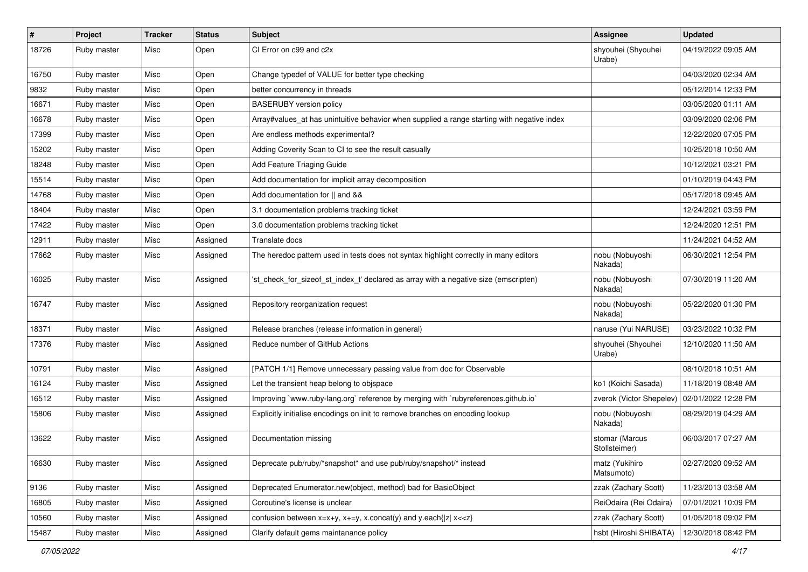| #     | Project     | <b>Tracker</b> | <b>Status</b> | <b>Subject</b>                                                                              | Assignee                        | <b>Updated</b>      |
|-------|-------------|----------------|---------------|---------------------------------------------------------------------------------------------|---------------------------------|---------------------|
| 18726 | Ruby master | Misc           | Open          | CI Error on c99 and c2x                                                                     | shyouhei (Shyouhei<br>Urabe)    | 04/19/2022 09:05 AM |
| 16750 | Ruby master | Misc           | Open          | Change typedef of VALUE for better type checking                                            |                                 | 04/03/2020 02:34 AM |
| 9832  | Ruby master | Misc           | Open          | better concurrency in threads                                                               |                                 | 05/12/2014 12:33 PM |
| 16671 | Ruby master | Misc           | Open          | <b>BASERUBY</b> version policy                                                              |                                 | 03/05/2020 01:11 AM |
| 16678 | Ruby master | Misc           | Open          | Array#values_at has unintuitive behavior when supplied a range starting with negative index |                                 | 03/09/2020 02:06 PM |
| 17399 | Ruby master | Misc           | Open          | Are endless methods experimental?                                                           |                                 | 12/22/2020 07:05 PM |
| 15202 | Ruby master | Misc           | Open          | Adding Coverity Scan to CI to see the result casually                                       |                                 | 10/25/2018 10:50 AM |
| 18248 | Ruby master | Misc           | Open          | Add Feature Triaging Guide                                                                  |                                 | 10/12/2021 03:21 PM |
| 15514 | Ruby master | Misc           | Open          | Add documentation for implicit array decomposition                                          |                                 | 01/10/2019 04:43 PM |
| 14768 | Ruby master | Misc           | Open          | Add documentation for    and &&                                                             |                                 | 05/17/2018 09:45 AM |
| 18404 | Ruby master | Misc           | Open          | 3.1 documentation problems tracking ticket                                                  |                                 | 12/24/2021 03:59 PM |
| 17422 | Ruby master | Misc           | Open          | 3.0 documentation problems tracking ticket                                                  |                                 | 12/24/2020 12:51 PM |
| 12911 | Ruby master | Misc           | Assigned      | Translate docs                                                                              |                                 | 11/24/2021 04:52 AM |
| 17662 | Ruby master | Misc           | Assigned      | The heredoc pattern used in tests does not syntax highlight correctly in many editors       | nobu (Nobuyoshi<br>Nakada)      | 06/30/2021 12:54 PM |
| 16025 | Ruby master | Misc           | Assigned      | 'st_check_for_sizeof_st_index_t' declared as array with a negative size (emscripten)        | nobu (Nobuyoshi<br>Nakada)      | 07/30/2019 11:20 AM |
| 16747 | Ruby master | Misc           | Assigned      | Repository reorganization request                                                           | nobu (Nobuyoshi<br>Nakada)      | 05/22/2020 01:30 PM |
| 18371 | Ruby master | Misc           | Assigned      | Release branches (release information in general)                                           | naruse (Yui NARUSE)             | 03/23/2022 10:32 PM |
| 17376 | Ruby master | Misc           | Assigned      | Reduce number of GitHub Actions                                                             | shyouhei (Shyouhei<br>Urabe)    | 12/10/2020 11:50 AM |
| 10791 | Ruby master | Misc           | Assigned      | [PATCH 1/1] Remove unnecessary passing value from doc for Observable                        |                                 | 08/10/2018 10:51 AM |
| 16124 | Ruby master | Misc           | Assigned      | Let the transient heap belong to objspace                                                   | ko1 (Koichi Sasada)             | 11/18/2019 08:48 AM |
| 16512 | Ruby master | Misc           | Assigned      | Improving `www.ruby-lang.org` reference by merging with `rubyreferences.github.io`          | zverok (Victor Shepelev)        | 02/01/2022 12:28 PM |
| 15806 | Ruby master | Misc           | Assigned      | Explicitly initialise encodings on init to remove branches on encoding lookup               | nobu (Nobuyoshi<br>Nakada)      | 08/29/2019 04:29 AM |
| 13622 | Ruby master | Misc           | Assigned      | Documentation missing                                                                       | stomar (Marcus<br>Stollsteimer) | 06/03/2017 07:27 AM |
| 16630 | Ruby master | Misc           | Assigned      | Deprecate pub/ruby/*snapshot* and use pub/ruby/snapshot/* instead                           | matz (Yukihiro<br>Matsumoto)    | 02/27/2020 09:52 AM |
| 9136  | Ruby master | Misc           | Assigned      | Deprecated Enumerator.new(object, method) bad for BasicObject                               | zzak (Zachary Scott)            | 11/23/2013 03:58 AM |
| 16805 | Ruby master | Misc           | Assigned      | Coroutine's license is unclear                                                              | ReiOdaira (Rei Odaira)          | 07/01/2021 10:09 PM |
| 10560 | Ruby master | Misc           | Assigned      | confusion between $x=x+y$ , $x+=y$ , x.concat(y) and y.each{ z  $x<}$                       | zzak (Zachary Scott)            | 01/05/2018 09:02 PM |
| 15487 | Ruby master | Misc           | Assigned      | Clarify default gems maintanance policy                                                     | hsbt (Hiroshi SHIBATA)          | 12/30/2018 08:42 PM |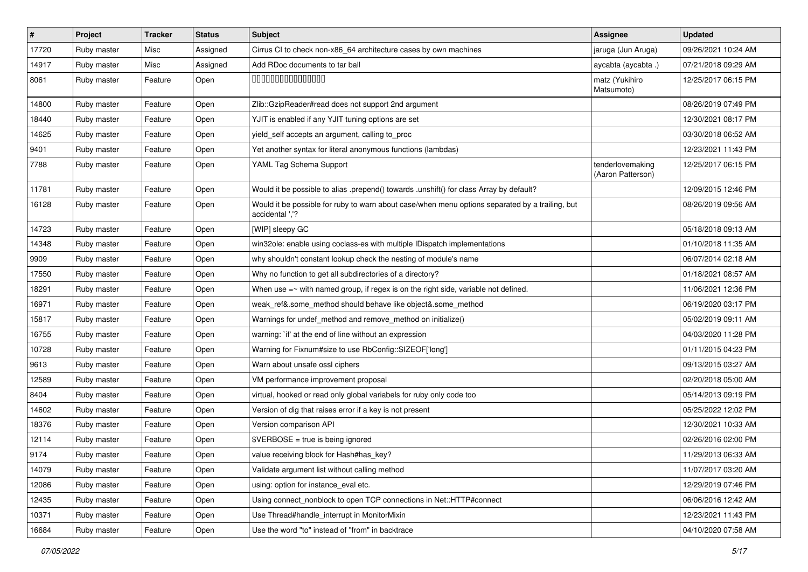| $\vert$ # | Project     | <b>Tracker</b> | <b>Status</b> | <b>Subject</b>                                                                                                     | <b>Assignee</b>                       | <b>Updated</b>      |
|-----------|-------------|----------------|---------------|--------------------------------------------------------------------------------------------------------------------|---------------------------------------|---------------------|
| 17720     | Ruby master | Misc           | Assigned      | Cirrus CI to check non-x86_64 architecture cases by own machines                                                   | jaruga (Jun Aruga)                    | 09/26/2021 10:24 AM |
| 14917     | Ruby master | Misc           | Assigned      | Add RDoc documents to tar ball                                                                                     | aycabta (aycabta.)                    | 07/21/2018 09:29 AM |
| 8061      | Ruby master | Feature        | Open          | 000000000000000                                                                                                    | matz (Yukihiro<br>Matsumoto)          | 12/25/2017 06:15 PM |
| 14800     | Ruby master | Feature        | Open          | Zlib::GzipReader#read does not support 2nd argument                                                                |                                       | 08/26/2019 07:49 PM |
| 18440     | Ruby master | Feature        | Open          | YJIT is enabled if any YJIT tuning options are set                                                                 |                                       | 12/30/2021 08:17 PM |
| 14625     | Ruby master | Feature        | Open          | yield_self accepts an argument, calling to_proc                                                                    |                                       | 03/30/2018 06:52 AM |
| 9401      | Ruby master | Feature        | Open          | Yet another syntax for literal anonymous functions (lambdas)                                                       |                                       | 12/23/2021 11:43 PM |
| 7788      | Ruby master | Feature        | Open          | YAML Tag Schema Support                                                                                            | tenderlovemaking<br>(Aaron Patterson) | 12/25/2017 06:15 PM |
| 11781     | Ruby master | Feature        | Open          | Would it be possible to alias .prepend() towards .unshift() for class Array by default?                            |                                       | 12/09/2015 12:46 PM |
| 16128     | Ruby master | Feature        | Open          | Would it be possible for ruby to warn about case/when menu options separated by a trailing, but<br>accidental ','? |                                       | 08/26/2019 09:56 AM |
| 14723     | Ruby master | Feature        | Open          | [WIP] sleepy GC                                                                                                    |                                       | 05/18/2018 09:13 AM |
| 14348     | Ruby master | Feature        | Open          | win32ole: enable using coclass-es with multiple IDispatch implementations                                          |                                       | 01/10/2018 11:35 AM |
| 9909      | Ruby master | Feature        | Open          | why shouldn't constant lookup check the nesting of module's name                                                   |                                       | 06/07/2014 02:18 AM |
| 17550     | Ruby master | Feature        | Open          | Why no function to get all subdirectories of a directory?                                                          |                                       | 01/18/2021 08:57 AM |
| 18291     | Ruby master | Feature        | Open          | When use $=\sim$ with named group, if regex is on the right side, variable not defined.                            |                                       | 11/06/2021 12:36 PM |
| 16971     | Ruby master | Feature        | Open          | weak_ref&.some_method should behave like object&.some_method                                                       |                                       | 06/19/2020 03:17 PM |
| 15817     | Ruby master | Feature        | Open          | Warnings for undef_method and remove_method on initialize()                                                        |                                       | 05/02/2019 09:11 AM |
| 16755     | Ruby master | Feature        | Open          | warning: `if' at the end of line without an expression                                                             |                                       | 04/03/2020 11:28 PM |
| 10728     | Ruby master | Feature        | Open          | Warning for Fixnum#size to use RbConfig::SIZEOF['long']                                                            |                                       | 01/11/2015 04:23 PM |
| 9613      | Ruby master | Feature        | Open          | Warn about unsafe ossl ciphers                                                                                     |                                       | 09/13/2015 03:27 AM |
| 12589     | Ruby master | Feature        | Open          | VM performance improvement proposal                                                                                |                                       | 02/20/2018 05:00 AM |
| 8404      | Ruby master | Feature        | Open          | virtual, hooked or read only global variabels for ruby only code too                                               |                                       | 05/14/2013 09:19 PM |
| 14602     | Ruby master | Feature        | Open          | Version of dig that raises error if a key is not present                                                           |                                       | 05/25/2022 12:02 PM |
| 18376     | Ruby master | Feature        | Open          | Version comparison API                                                                                             |                                       | 12/30/2021 10:33 AM |
| 12114     | Ruby master | Feature        | Open          | \$VERBOSE = true is being ignored                                                                                  |                                       | 02/26/2016 02:00 PM |
| 9174      | Ruby master | Feature        | Open          | value receiving block for Hash#has_key?                                                                            |                                       | 11/29/2013 06:33 AM |
| 14079     | Ruby master | Feature        | Open          | Validate argument list without calling method                                                                      |                                       | 11/07/2017 03:20 AM |
| 12086     | Ruby master | Feature        | Open          | using: option for instance_eval etc.                                                                               |                                       | 12/29/2019 07:46 PM |
| 12435     | Ruby master | Feature        | Open          | Using connect_nonblock to open TCP connections in Net::HTTP#connect                                                |                                       | 06/06/2016 12:42 AM |
| 10371     | Ruby master | Feature        | Open          | Use Thread#handle_interrupt in MonitorMixin                                                                        |                                       | 12/23/2021 11:43 PM |
| 16684     | Ruby master | Feature        | Open          | Use the word "to" instead of "from" in backtrace                                                                   |                                       | 04/10/2020 07:58 AM |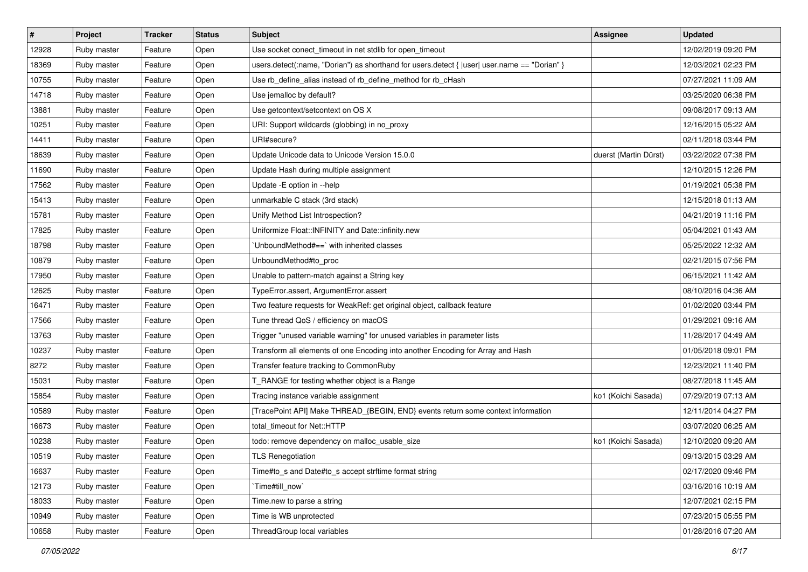| #     | Project     | <b>Tracker</b> | <b>Status</b> | <b>Subject</b>                                                                               | Assignee              | <b>Updated</b>      |
|-------|-------------|----------------|---------------|----------------------------------------------------------------------------------------------|-----------------------|---------------------|
| 12928 | Ruby master | Feature        | Open          | Use socket conect timeout in net stdlib for open timeout                                     |                       | 12/02/2019 09:20 PM |
| 18369 | Ruby master | Feature        | Open          | users.detect(:name, "Dorian") as shorthand for users.detect {  user  user.name == "Dorian" } |                       | 12/03/2021 02:23 PM |
| 10755 | Ruby master | Feature        | Open          | Use rb_define_alias instead of rb_define_method for rb_cHash                                 |                       | 07/27/2021 11:09 AM |
| 14718 | Ruby master | Feature        | Open          | Use jemalloc by default?                                                                     |                       | 03/25/2020 06:38 PM |
| 13881 | Ruby master | Feature        | Open          | Use getcontext/setcontext on OS X                                                            |                       | 09/08/2017 09:13 AM |
| 10251 | Ruby master | Feature        | Open          | URI: Support wildcards (globbing) in no_proxy                                                |                       | 12/16/2015 05:22 AM |
| 14411 | Ruby master | Feature        | Open          | URI#secure?                                                                                  |                       | 02/11/2018 03:44 PM |
| 18639 | Ruby master | Feature        | Open          | Update Unicode data to Unicode Version 15.0.0                                                | duerst (Martin Dürst) | 03/22/2022 07:38 PM |
| 11690 | Ruby master | Feature        | Open          | Update Hash during multiple assignment                                                       |                       | 12/10/2015 12:26 PM |
| 17562 | Ruby master | Feature        | Open          | Update - E option in --help                                                                  |                       | 01/19/2021 05:38 PM |
| 15413 | Ruby master | Feature        | Open          | unmarkable C stack (3rd stack)                                                               |                       | 12/15/2018 01:13 AM |
| 15781 | Ruby master | Feature        | Open          | Unify Method List Introspection?                                                             |                       | 04/21/2019 11:16 PM |
| 17825 | Ruby master | Feature        | Open          | Uniformize Float::INFINITY and Date::infinity.new                                            |                       | 05/04/2021 01:43 AM |
| 18798 | Ruby master | Feature        | Open          | UnboundMethod#==` with inherited classes                                                     |                       | 05/25/2022 12:32 AM |
| 10879 | Ruby master | Feature        | Open          | UnboundMethod#to_proc                                                                        |                       | 02/21/2015 07:56 PM |
| 17950 | Ruby master | Feature        | Open          | Unable to pattern-match against a String key                                                 |                       | 06/15/2021 11:42 AM |
| 12625 | Ruby master | Feature        | Open          | TypeError.assert, ArgumentError.assert                                                       |                       | 08/10/2016 04:36 AM |
| 16471 | Ruby master | Feature        | Open          | Two feature requests for WeakRef: get original object, callback feature                      |                       | 01/02/2020 03:44 PM |
| 17566 | Ruby master | Feature        | Open          | Tune thread QoS / efficiency on macOS                                                        |                       | 01/29/2021 09:16 AM |
| 13763 | Ruby master | Feature        | Open          | Trigger "unused variable warning" for unused variables in parameter lists                    |                       | 11/28/2017 04:49 AM |
| 10237 | Ruby master | Feature        | Open          | Transform all elements of one Encoding into another Encoding for Array and Hash              |                       | 01/05/2018 09:01 PM |
| 8272  | Ruby master | Feature        | Open          | Transfer feature tracking to CommonRuby                                                      |                       | 12/23/2021 11:40 PM |
| 15031 | Ruby master | Feature        | Open          | T_RANGE for testing whether object is a Range                                                |                       | 08/27/2018 11:45 AM |
| 15854 | Ruby master | Feature        | Open          | Tracing instance variable assignment                                                         | ko1 (Koichi Sasada)   | 07/29/2019 07:13 AM |
| 10589 | Ruby master | Feature        | Open          | [TracePoint API] Make THREAD_{BEGIN, END} events return some context information             |                       | 12/11/2014 04:27 PM |
| 16673 | Ruby master | Feature        | Open          | total timeout for Net::HTTP                                                                  |                       | 03/07/2020 06:25 AM |
| 10238 | Ruby master | Feature        | Open          | todo: remove dependency on malloc_usable_size                                                | ko1 (Koichi Sasada)   | 12/10/2020 09:20 AM |
| 10519 | Ruby master | Feature        | Open          | <b>TLS Renegotiation</b>                                                                     |                       | 09/13/2015 03:29 AM |
| 16637 | Ruby master | Feature        | Open          | Time#to s and Date#to s accept strftime format string                                        |                       | 02/17/2020 09:46 PM |
| 12173 | Ruby master | Feature        | Open          | `Time#till now`                                                                              |                       | 03/16/2016 10:19 AM |
| 18033 | Ruby master | Feature        | Open          | Time.new to parse a string                                                                   |                       | 12/07/2021 02:15 PM |
| 10949 | Ruby master | Feature        | Open          | Time is WB unprotected                                                                       |                       | 07/23/2015 05:55 PM |
| 10658 | Ruby master | Feature        | Open          | ThreadGroup local variables                                                                  |                       | 01/28/2016 07:20 AM |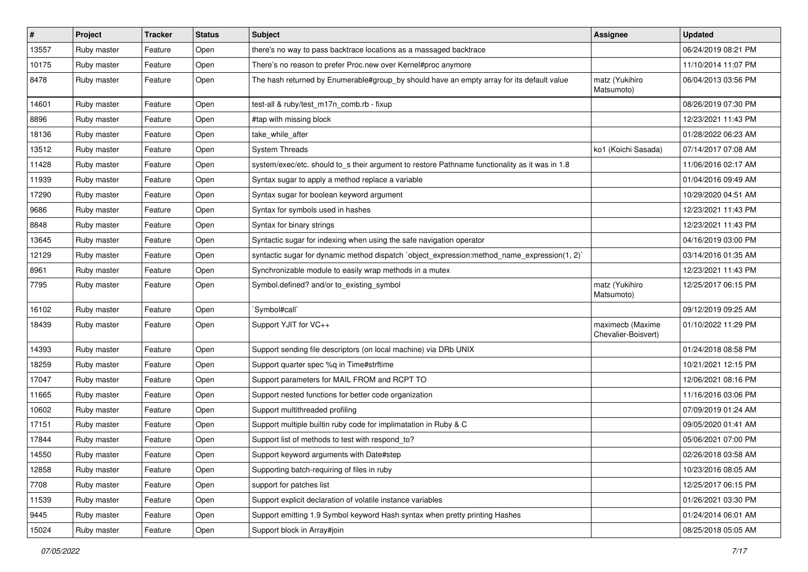| $\sharp$ | Project     | <b>Tracker</b> | <b>Status</b> | <b>Subject</b>                                                                                 | <b>Assignee</b>                         | <b>Updated</b>      |
|----------|-------------|----------------|---------------|------------------------------------------------------------------------------------------------|-----------------------------------------|---------------------|
| 13557    | Ruby master | Feature        | Open          | there's no way to pass backtrace locations as a massaged backtrace                             |                                         | 06/24/2019 08:21 PM |
| 10175    | Ruby master | Feature        | Open          | There's no reason to prefer Proc.new over Kernel#proc anymore                                  |                                         | 11/10/2014 11:07 PM |
| 8478     | Ruby master | Feature        | Open          | The hash returned by Enumerable#group_by should have an empty array for its default value      | matz (Yukihiro<br>Matsumoto)            | 06/04/2013 03:56 PM |
| 14601    | Ruby master | Feature        | Open          | test-all & ruby/test_m17n_comb.rb - fixup                                                      |                                         | 08/26/2019 07:30 PM |
| 8896     | Ruby master | Feature        | Open          | #tap with missing block                                                                        |                                         | 12/23/2021 11:43 PM |
| 18136    | Ruby master | Feature        | Open          | take_while_after                                                                               |                                         | 01/28/2022 06:23 AM |
| 13512    | Ruby master | Feature        | Open          | <b>System Threads</b>                                                                          | ko1 (Koichi Sasada)                     | 07/14/2017 07:08 AM |
| 11428    | Ruby master | Feature        | Open          | system/exec/etc. should to_s their argument to restore Pathname functionality as it was in 1.8 |                                         | 11/06/2016 02:17 AM |
| 11939    | Ruby master | Feature        | Open          | Syntax sugar to apply a method replace a variable                                              |                                         | 01/04/2016 09:49 AM |
| 17290    | Ruby master | Feature        | Open          | Syntax sugar for boolean keyword argument                                                      |                                         | 10/29/2020 04:51 AM |
| 9686     | Ruby master | Feature        | Open          | Syntax for symbols used in hashes                                                              |                                         | 12/23/2021 11:43 PM |
| 8848     | Ruby master | Feature        | Open          | Syntax for binary strings                                                                      |                                         | 12/23/2021 11:43 PM |
| 13645    | Ruby master | Feature        | Open          | Syntactic sugar for indexing when using the safe navigation operator                           |                                         | 04/16/2019 03:00 PM |
| 12129    | Ruby master | Feature        | Open          | syntactic sugar for dynamic method dispatch `object_expression:method_name_expression(1, 2)`   |                                         | 03/14/2016 01:35 AM |
| 8961     | Ruby master | Feature        | Open          | Synchronizable module to easily wrap methods in a mutex                                        |                                         | 12/23/2021 11:43 PM |
| 7795     | Ruby master | Feature        | Open          | Symbol.defined? and/or to_existing_symbol                                                      | matz (Yukihiro<br>Matsumoto)            | 12/25/2017 06:15 PM |
| 16102    | Ruby master | Feature        | Open          | `Symbol#call`                                                                                  |                                         | 09/12/2019 09:25 AM |
| 18439    | Ruby master | Feature        | Open          | Support YJIT for VC++                                                                          | maximecb (Maxime<br>Chevalier-Boisvert) | 01/10/2022 11:29 PM |
| 14393    | Ruby master | Feature        | Open          | Support sending file descriptors (on local machine) via DRb UNIX                               |                                         | 01/24/2018 08:58 PM |
| 18259    | Ruby master | Feature        | Open          | Support quarter spec %q in Time#strftime                                                       |                                         | 10/21/2021 12:15 PM |
| 17047    | Ruby master | Feature        | Open          | Support parameters for MAIL FROM and RCPT TO                                                   |                                         | 12/06/2021 08:16 PM |
| 11665    | Ruby master | Feature        | Open          | Support nested functions for better code organization                                          |                                         | 11/16/2016 03:06 PM |
| 10602    | Ruby master | Feature        | Open          | Support multithreaded profiling                                                                |                                         | 07/09/2019 01:24 AM |
| 17151    | Ruby master | Feature        | Open          | Support multiple builtin ruby code for implimatation in Ruby & C                               |                                         | 09/05/2020 01:41 AM |
| 17844    | Ruby master | Feature        | Open          | Support list of methods to test with respond_to?                                               |                                         | 05/06/2021 07:00 PM |
| 14550    | Ruby master | Feature        | Open          | Support keyword arguments with Date#step                                                       |                                         | 02/26/2018 03:58 AM |
| 12858    | Ruby master | Feature        | Open          | Supporting batch-requiring of files in ruby                                                    |                                         | 10/23/2016 08:05 AM |
| 7708     | Ruby master | Feature        | Open          | support for patches list                                                                       |                                         | 12/25/2017 06:15 PM |
| 11539    | Ruby master | Feature        | Open          | Support explicit declaration of volatile instance variables                                    |                                         | 01/26/2021 03:30 PM |
| 9445     | Ruby master | Feature        | Open          | Support emitting 1.9 Symbol keyword Hash syntax when pretty printing Hashes                    |                                         | 01/24/2014 06:01 AM |
| 15024    | Ruby master | Feature        | Open          | Support block in Array#join                                                                    |                                         | 08/25/2018 05:05 AM |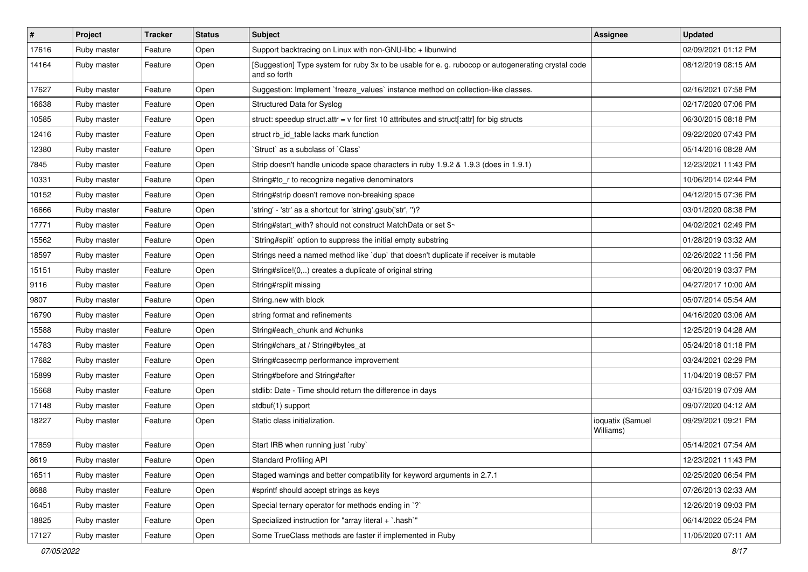| $\vert$ # | Project     | <b>Tracker</b> | <b>Status</b> | Subject                                                                                                            | <b>Assignee</b>               | <b>Updated</b>      |
|-----------|-------------|----------------|---------------|--------------------------------------------------------------------------------------------------------------------|-------------------------------|---------------------|
| 17616     | Ruby master | Feature        | Open          | Support backtracing on Linux with non-GNU-libc + libunwind                                                         |                               | 02/09/2021 01:12 PM |
| 14164     | Ruby master | Feature        | Open          | [Suggestion] Type system for ruby 3x to be usable for e. g. rubocop or autogenerating crystal code<br>and so forth |                               | 08/12/2019 08:15 AM |
| 17627     | Ruby master | Feature        | Open          | Suggestion: Implement `freeze_values` instance method on collection-like classes.                                  |                               | 02/16/2021 07:58 PM |
| 16638     | Ruby master | Feature        | Open          | Structured Data for Syslog                                                                                         |                               | 02/17/2020 07:06 PM |
| 10585     | Ruby master | Feature        | Open          | struct: speedup struct.attr = $v$ for first 10 attributes and struct[:attr] for big structs                        |                               | 06/30/2015 08:18 PM |
| 12416     | Ruby master | Feature        | Open          | struct rb_id_table lacks mark function                                                                             |                               | 09/22/2020 07:43 PM |
| 12380     | Ruby master | Feature        | Open          | 'Struct' as a subclass of 'Class'                                                                                  |                               | 05/14/2016 08:28 AM |
| 7845      | Ruby master | Feature        | Open          | Strip doesn't handle unicode space characters in ruby 1.9.2 & 1.9.3 (does in 1.9.1)                                |                               | 12/23/2021 11:43 PM |
| 10331     | Ruby master | Feature        | Open          | String#to_r to recognize negative denominators                                                                     |                               | 10/06/2014 02:44 PM |
| 10152     | Ruby master | Feature        | Open          | String#strip doesn't remove non-breaking space                                                                     |                               | 04/12/2015 07:36 PM |
| 16666     | Ruby master | Feature        | Open          | 'string' - 'str' as a shortcut for 'string'.gsub('str', ")?                                                        |                               | 03/01/2020 08:38 PM |
| 17771     | Ruby master | Feature        | Open          | String#start_with? should not construct MatchData or set \$~                                                       |                               | 04/02/2021 02:49 PM |
| 15562     | Ruby master | Feature        | Open          | `String#split` option to suppress the initial empty substring                                                      |                               | 01/28/2019 03:32 AM |
| 18597     | Ruby master | Feature        | Open          | Strings need a named method like 'dup' that doesn't duplicate if receiver is mutable                               |                               | 02/26/2022 11:56 PM |
| 15151     | Ruby master | Feature        | Open          | String#slice!(0,) creates a duplicate of original string                                                           |                               | 06/20/2019 03:37 PM |
| 9116      | Ruby master | Feature        | Open          | String#rsplit missing                                                                                              |                               | 04/27/2017 10:00 AM |
| 9807      | Ruby master | Feature        | Open          | String.new with block                                                                                              |                               | 05/07/2014 05:54 AM |
| 16790     | Ruby master | Feature        | Open          | string format and refinements                                                                                      |                               | 04/16/2020 03:06 AM |
| 15588     | Ruby master | Feature        | Open          | String#each_chunk and #chunks                                                                                      |                               | 12/25/2019 04:28 AM |
| 14783     | Ruby master | Feature        | Open          | String#chars_at / String#bytes_at                                                                                  |                               | 05/24/2018 01:18 PM |
| 17682     | Ruby master | Feature        | Open          | String#casecmp performance improvement                                                                             |                               | 03/24/2021 02:29 PM |
| 15899     | Ruby master | Feature        | Open          | String#before and String#after                                                                                     |                               | 11/04/2019 08:57 PM |
| 15668     | Ruby master | Feature        | Open          | stdlib: Date - Time should return the difference in days                                                           |                               | 03/15/2019 07:09 AM |
| 17148     | Ruby master | Feature        | Open          | stdbuf(1) support                                                                                                  |                               | 09/07/2020 04:12 AM |
| 18227     | Ruby master | Feature        | Open          | Static class initialization.                                                                                       | ioquatix (Samuel<br>Williams) | 09/29/2021 09:21 PM |
| 17859     | Ruby master | Feature        | Open          | Start IRB when running just `ruby`                                                                                 |                               | 05/14/2021 07:54 AM |
| 8619      | Ruby master | Feature        | Open          | <b>Standard Profiling API</b>                                                                                      |                               | 12/23/2021 11:43 PM |
| 16511     | Ruby master | Feature        | Open          | Staged warnings and better compatibility for keyword arguments in 2.7.1                                            |                               | 02/25/2020 06:54 PM |
| 8688      | Ruby master | Feature        | Open          | #sprintf should accept strings as keys                                                                             |                               | 07/26/2013 02:33 AM |
| 16451     | Ruby master | Feature        | Open          | Special ternary operator for methods ending in `?`                                                                 |                               | 12/26/2019 09:03 PM |
| 18825     | Ruby master | Feature        | Open          | Specialized instruction for "array literal + `.hash`"                                                              |                               | 06/14/2022 05:24 PM |
| 17127     | Ruby master | Feature        | Open          | Some TrueClass methods are faster if implemented in Ruby                                                           |                               | 11/05/2020 07:11 AM |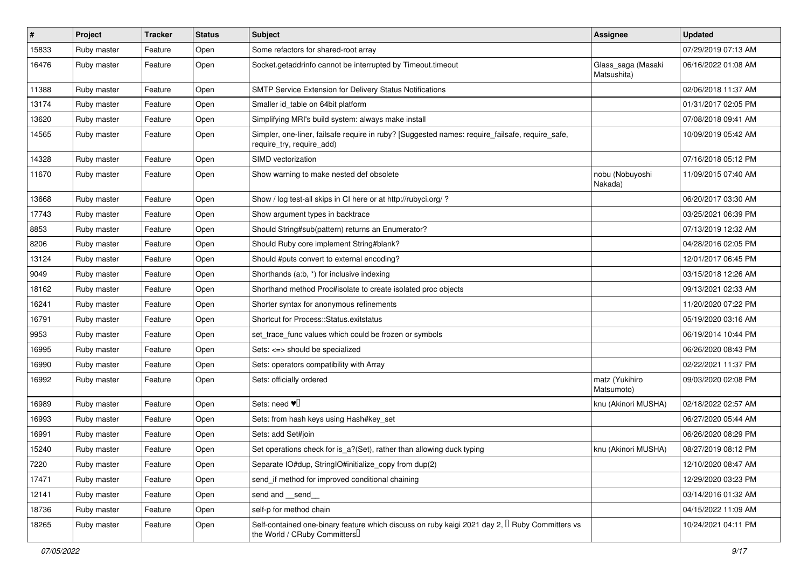| $\vert$ # | Project     | <b>Tracker</b> | <b>Status</b> | <b>Subject</b>                                                                                                                             | <b>Assignee</b>                   | <b>Updated</b>      |
|-----------|-------------|----------------|---------------|--------------------------------------------------------------------------------------------------------------------------------------------|-----------------------------------|---------------------|
| 15833     | Ruby master | Feature        | Open          | Some refactors for shared-root array                                                                                                       |                                   | 07/29/2019 07:13 AM |
| 16476     | Ruby master | Feature        | Open          | Socket.getaddrinfo cannot be interrupted by Timeout.timeout                                                                                | Glass_saga (Masaki<br>Matsushita) | 06/16/2022 01:08 AM |
| 11388     | Ruby master | Feature        | Open          | SMTP Service Extension for Delivery Status Notifications                                                                                   |                                   | 02/06/2018 11:37 AM |
| 13174     | Ruby master | Feature        | Open          | Smaller id_table on 64bit platform                                                                                                         |                                   | 01/31/2017 02:05 PM |
| 13620     | Ruby master | Feature        | Open          | Simplifying MRI's build system: always make install                                                                                        |                                   | 07/08/2018 09:41 AM |
| 14565     | Ruby master | Feature        | Open          | Simpler, one-liner, failsafe require in ruby? [Suggested names: require_failsafe, require_safe,<br>require try, require add)               |                                   | 10/09/2019 05:42 AM |
| 14328     | Ruby master | Feature        | Open          | SIMD vectorization                                                                                                                         |                                   | 07/16/2018 05:12 PM |
| 11670     | Ruby master | Feature        | Open          | Show warning to make nested def obsolete                                                                                                   | nobu (Nobuyoshi<br>Nakada)        | 11/09/2015 07:40 AM |
| 13668     | Ruby master | Feature        | Open          | Show / log test-all skips in CI here or at http://rubyci.org/ ?                                                                            |                                   | 06/20/2017 03:30 AM |
| 17743     | Ruby master | Feature        | Open          | Show argument types in backtrace                                                                                                           |                                   | 03/25/2021 06:39 PM |
| 8853      | Ruby master | Feature        | Open          | Should String#sub(pattern) returns an Enumerator?                                                                                          |                                   | 07/13/2019 12:32 AM |
| 8206      | Ruby master | Feature        | Open          | Should Ruby core implement String#blank?                                                                                                   |                                   | 04/28/2016 02:05 PM |
| 13124     | Ruby master | Feature        | Open          | Should #puts convert to external encoding?                                                                                                 |                                   | 12/01/2017 06:45 PM |
| 9049      | Ruby master | Feature        | Open          | Shorthands (a.b, *) for inclusive indexing                                                                                                 |                                   | 03/15/2018 12:26 AM |
| 18162     | Ruby master | Feature        | Open          | Shorthand method Proc#isolate to create isolated proc objects                                                                              |                                   | 09/13/2021 02:33 AM |
| 16241     | Ruby master | Feature        | Open          | Shorter syntax for anonymous refinements                                                                                                   |                                   | 11/20/2020 07:22 PM |
| 16791     | Ruby master | Feature        | Open          | Shortcut for Process::Status.exitstatus                                                                                                    |                                   | 05/19/2020 03:16 AM |
| 9953      | Ruby master | Feature        | Open          | set_trace_func values which could be frozen or symbols                                                                                     |                                   | 06/19/2014 10:44 PM |
| 16995     | Ruby master | Feature        | Open          | Sets: <=> should be specialized                                                                                                            |                                   | 06/26/2020 08:43 PM |
| 16990     | Ruby master | Feature        | Open          | Sets: operators compatibility with Array                                                                                                   |                                   | 02/22/2021 11:37 PM |
| 16992     | Ruby master | Feature        | Open          | Sets: officially ordered                                                                                                                   | matz (Yukihiro<br>Matsumoto)      | 09/03/2020 02:08 PM |
| 16989     | Ruby master | Feature        | Open          | Sets: need $\Psi$ <sup>[]</sup>                                                                                                            | knu (Akinori MUSHA)               | 02/18/2022 02:57 AM |
| 16993     | Ruby master | Feature        | Open          | Sets: from hash keys using Hash#key_set                                                                                                    |                                   | 06/27/2020 05:44 AM |
| 16991     | Ruby master | Feature        | Open          | Sets: add Set#join                                                                                                                         |                                   | 06/26/2020 08:29 PM |
| 15240     | Ruby master | Feature        | Open          | Set operations check for is a?(Set), rather than allowing duck typing                                                                      | knu (Akinori MUSHA)               | 08/27/2019 08:12 PM |
| 7220      | Ruby master | Feature        | Open          | Separate IO#dup, StringIO#initialize_copy from dup(2)                                                                                      |                                   | 12/10/2020 08:47 AM |
| 17471     | Ruby master | Feature        | Open          | send_if method for improved conditional chaining                                                                                           |                                   | 12/29/2020 03:23 PM |
| 12141     | Ruby master | Feature        | Open          | send and __send_                                                                                                                           |                                   | 03/14/2016 01:32 AM |
| 18736     | Ruby master | Feature        | Open          | self-p for method chain                                                                                                                    |                                   | 04/15/2022 11:09 AM |
| 18265     | Ruby master | Feature        | Open          | Self-contained one-binary feature which discuss on ruby kaigi 2021 day 2, <sup>[]</sup> Ruby Committers vs<br>the World / CRuby Committers |                                   | 10/24/2021 04:11 PM |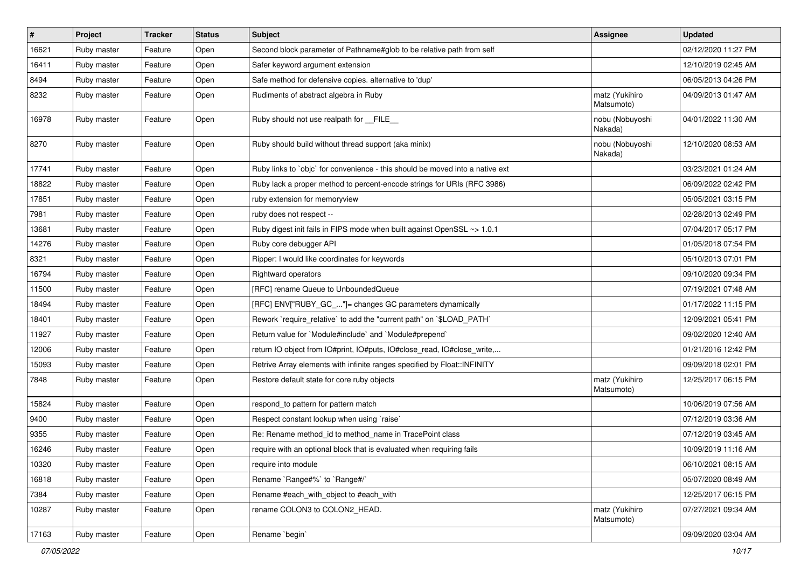| #     | Project     | <b>Tracker</b> | <b>Status</b> | <b>Subject</b>                                                                | <b>Assignee</b>              | <b>Updated</b>      |
|-------|-------------|----------------|---------------|-------------------------------------------------------------------------------|------------------------------|---------------------|
| 16621 | Ruby master | Feature        | Open          | Second block parameter of Pathname#glob to be relative path from self         |                              | 02/12/2020 11:27 PM |
| 16411 | Ruby master | Feature        | Open          | Safer keyword argument extension                                              |                              | 12/10/2019 02:45 AM |
| 8494  | Ruby master | Feature        | Open          | Safe method for defensive copies. alternative to 'dup'                        |                              | 06/05/2013 04:26 PM |
| 8232  | Ruby master | Feature        | Open          | Rudiments of abstract algebra in Ruby                                         | matz (Yukihiro<br>Matsumoto) | 04/09/2013 01:47 AM |
| 16978 | Ruby master | Feature        | Open          | Ruby should not use realpath for FILE                                         | nobu (Nobuyoshi<br>Nakada)   | 04/01/2022 11:30 AM |
| 8270  | Ruby master | Feature        | Open          | Ruby should build without thread support (aka minix)                          | nobu (Nobuyoshi<br>Nakada)   | 12/10/2020 08:53 AM |
| 17741 | Ruby master | Feature        | Open          | Ruby links to `objc` for convenience - this should be moved into a native ext |                              | 03/23/2021 01:24 AM |
| 18822 | Ruby master | Feature        | Open          | Ruby lack a proper method to percent-encode strings for URIs (RFC 3986)       |                              | 06/09/2022 02:42 PM |
| 17851 | Ruby master | Feature        | Open          | ruby extension for memoryview                                                 |                              | 05/05/2021 03:15 PM |
| 7981  | Ruby master | Feature        | Open          | ruby does not respect --                                                      |                              | 02/28/2013 02:49 PM |
| 13681 | Ruby master | Feature        | Open          | Ruby digest init fails in FIPS mode when built against OpenSSL ~> 1.0.1       |                              | 07/04/2017 05:17 PM |
| 14276 | Ruby master | Feature        | Open          | Ruby core debugger API                                                        |                              | 01/05/2018 07:54 PM |
| 8321  | Ruby master | Feature        | Open          | Ripper: I would like coordinates for keywords                                 |                              | 05/10/2013 07:01 PM |
| 16794 | Ruby master | Feature        | Open          | Rightward operators                                                           |                              | 09/10/2020 09:34 PM |
| 11500 | Ruby master | Feature        | Open          | [RFC] rename Queue to UnboundedQueue                                          |                              | 07/19/2021 07:48 AM |
| 18494 | Ruby master | Feature        | Open          | [RFC] ENV["RUBY_GC_"]= changes GC parameters dynamically                      |                              | 01/17/2022 11:15 PM |
| 18401 | Ruby master | Feature        | Open          | Rework `require_relative` to add the "current path" on `\$LOAD_PATH`          |                              | 12/09/2021 05:41 PM |
| 11927 | Ruby master | Feature        | Open          | Return value for `Module#include` and `Module#prepend`                        |                              | 09/02/2020 12:40 AM |
| 12006 | Ruby master | Feature        | Open          | return IO object from IO#print, IO#puts, IO#close_read, IO#close_write,       |                              | 01/21/2016 12:42 PM |
| 15093 | Ruby master | Feature        | Open          | Retrive Array elements with infinite ranges specified by Float::INFINITY      |                              | 09/09/2018 02:01 PM |
| 7848  | Ruby master | Feature        | Open          | Restore default state for core ruby objects                                   | matz (Yukihiro<br>Matsumoto) | 12/25/2017 06:15 PM |
| 15824 | Ruby master | Feature        | Open          | respond_to pattern for pattern match                                          |                              | 10/06/2019 07:56 AM |
| 9400  | Ruby master | Feature        | Open          | Respect constant lookup when using `raise`                                    |                              | 07/12/2019 03:36 AM |
| 9355  | Ruby master | Feature        | Open          | Re: Rename method_id to method_name in TracePoint class                       |                              | 07/12/2019 03:45 AM |
| 16246 | Ruby master | Feature        | Open          | require with an optional block that is evaluated when requiring fails         |                              | 10/09/2019 11:16 AM |
| 10320 | Ruby master | Feature        | Open          | require into module                                                           |                              | 06/10/2021 08:15 AM |
| 16818 | Ruby master | Feature        | Open          | Rename `Range#%` to `Range#/`                                                 |                              | 05/07/2020 08:49 AM |
| 7384  | Ruby master | Feature        | Open          | Rename #each with object to #each with                                        |                              | 12/25/2017 06:15 PM |
| 10287 | Ruby master | Feature        | Open          | rename COLON3 to COLON2_HEAD.                                                 | matz (Yukihiro<br>Matsumoto) | 07/27/2021 09:34 AM |
| 17163 | Ruby master | Feature        | Open          | Rename `begin`                                                                |                              | 09/09/2020 03:04 AM |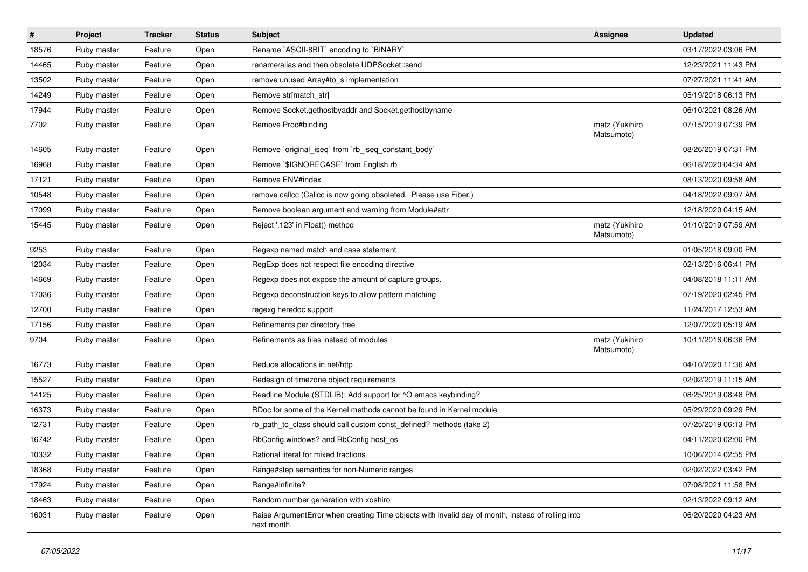| $\vert$ # | Project     | <b>Tracker</b> | <b>Status</b> | <b>Subject</b>                                                                                                  | <b>Assignee</b>              | <b>Updated</b>      |
|-----------|-------------|----------------|---------------|-----------------------------------------------------------------------------------------------------------------|------------------------------|---------------------|
| 18576     | Ruby master | Feature        | Open          | Rename `ASCII-8BIT` encoding to `BINARY`                                                                        |                              | 03/17/2022 03:06 PM |
| 14465     | Ruby master | Feature        | Open          | rename/alias and then obsolete UDPSocket::send                                                                  |                              | 12/23/2021 11:43 PM |
| 13502     | Ruby master | Feature        | Open          | remove unused Array#to s implementation                                                                         |                              | 07/27/2021 11:41 AM |
| 14249     | Ruby master | Feature        | Open          | Remove str[match_str]                                                                                           |                              | 05/19/2018 06:13 PM |
| 17944     | Ruby master | Feature        | Open          | Remove Socket.gethostbyaddr and Socket.gethostbyname                                                            |                              | 06/10/2021 08:26 AM |
| 7702      | Ruby master | Feature        | Open          | Remove Proc#binding                                                                                             | matz (Yukihiro<br>Matsumoto) | 07/15/2019 07:39 PM |
| 14605     | Ruby master | Feature        | Open          | Remove `original iseg` from `rb iseg constant body`                                                             |                              | 08/26/2019 07:31 PM |
| 16968     | Ruby master | Feature        | Open          | Remove `\$IGNORECASE` from English.rb                                                                           |                              | 06/18/2020 04:34 AM |
| 17121     | Ruby master | Feature        | Open          | Remove ENV#index                                                                                                |                              | 08/13/2020 09:58 AM |
| 10548     | Ruby master | Feature        | Open          | remove callcc (Callcc is now going obsoleted. Please use Fiber.)                                                |                              | 04/18/2022 09:07 AM |
| 17099     | Ruby master | Feature        | Open          | Remove boolean argument and warning from Module#attr                                                            |                              | 12/18/2020 04:15 AM |
| 15445     | Ruby master | Feature        | Open          | Reject '.123' in Float() method                                                                                 | matz (Yukihiro<br>Matsumoto) | 01/10/2019 07:59 AM |
| 9253      | Ruby master | Feature        | Open          | Regexp named match and case statement                                                                           |                              | 01/05/2018 09:00 PM |
| 12034     | Ruby master | Feature        | Open          | RegExp does not respect file encoding directive                                                                 |                              | 02/13/2016 06:41 PM |
| 14669     | Ruby master | Feature        | Open          | Regexp does not expose the amount of capture groups.                                                            |                              | 04/08/2018 11:11 AM |
| 17036     | Ruby master | Feature        | Open          | Regexp deconstruction keys to allow pattern matching                                                            |                              | 07/19/2020 02:45 PM |
| 12700     | Ruby master | Feature        | Open          | regexg heredoc support                                                                                          |                              | 11/24/2017 12:53 AM |
| 17156     | Ruby master | Feature        | Open          | Refinements per directory tree                                                                                  |                              | 12/07/2020 05:19 AM |
| 9704      | Ruby master | Feature        | Open          | Refinements as files instead of modules                                                                         | matz (Yukihiro<br>Matsumoto) | 10/11/2016 06:36 PM |
| 16773     | Ruby master | Feature        | Open          | Reduce allocations in net/http                                                                                  |                              | 04/10/2020 11:36 AM |
| 15527     | Ruby master | Feature        | Open          | Redesign of timezone object requirements                                                                        |                              | 02/02/2019 11:15 AM |
| 14125     | Ruby master | Feature        | Open          | Readline Module (STDLIB): Add support for ^O emacs keybinding?                                                  |                              | 08/25/2019 08:48 PM |
| 16373     | Ruby master | Feature        | Open          | RDoc for some of the Kernel methods cannot be found in Kernel module                                            |                              | 05/29/2020 09:29 PM |
| 12731     | Ruby master | Feature        | Open          | rb_path_to_class should call custom const_defined? methods (take 2)                                             |                              | 07/25/2019 06:13 PM |
| 16742     | Ruby master | Feature        | Open          | RbConfig.windows? and RbConfig.host_os                                                                          |                              | 04/11/2020 02:00 PM |
| 10332     | Ruby master | Feature        | Open          | Rational literal for mixed fractions                                                                            |                              | 10/06/2014 02:55 PM |
| 18368     | Ruby master | Feature        | Open          | Range#step semantics for non-Numeric ranges                                                                     |                              | 02/02/2022 03:42 PM |
| 17924     | Ruby master | Feature        | Open          | Range#infinite?                                                                                                 |                              | 07/08/2021 11:58 PM |
| 18463     | Ruby master | Feature        | Open          | Random number generation with xoshiro                                                                           |                              | 02/13/2022 09:12 AM |
| 16031     | Ruby master | Feature        | Open          | Raise ArgumentError when creating Time objects with invalid day of month, instead of rolling into<br>next month |                              | 06/20/2020 04:23 AM |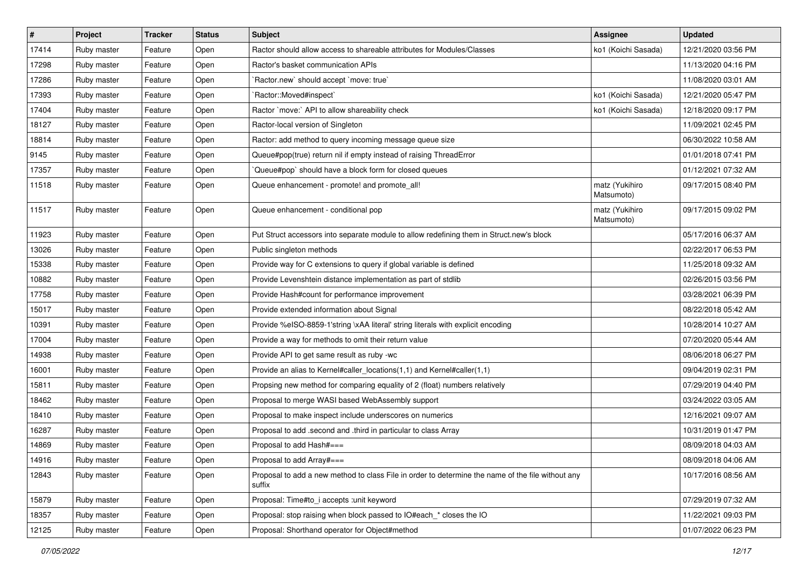| $\sharp$ | Project     | <b>Tracker</b> | <b>Status</b> | <b>Subject</b>                                                                                              | <b>Assignee</b>              | <b>Updated</b>      |
|----------|-------------|----------------|---------------|-------------------------------------------------------------------------------------------------------------|------------------------------|---------------------|
| 17414    | Ruby master | Feature        | Open          | Ractor should allow access to shareable attributes for Modules/Classes                                      | ko1 (Koichi Sasada)          | 12/21/2020 03:56 PM |
| 17298    | Ruby master | Feature        | Open          | Ractor's basket communication APIs                                                                          |                              | 11/13/2020 04:16 PM |
| 17286    | Ruby master | Feature        | Open          | Ractor.new' should accept 'move: true'                                                                      |                              | 11/08/2020 03:01 AM |
| 17393    | Ruby master | Feature        | Open          | `Ractor::Moved#inspect`                                                                                     | ko1 (Koichi Sasada)          | 12/21/2020 05:47 PM |
| 17404    | Ruby master | Feature        | Open          | Ractor `move:` API to allow shareability check                                                              | ko1 (Koichi Sasada)          | 12/18/2020 09:17 PM |
| 18127    | Ruby master | Feature        | Open          | Ractor-local version of Singleton                                                                           |                              | 11/09/2021 02:45 PM |
| 18814    | Ruby master | Feature        | Open          | Ractor: add method to query incoming message queue size                                                     |                              | 06/30/2022 10:58 AM |
| 9145     | Ruby master | Feature        | Open          | Queue#pop(true) return nil if empty instead of raising ThreadError                                          |                              | 01/01/2018 07:41 PM |
| 17357    | Ruby master | Feature        | Open          | Queue#pop`should have a block form for closed queues                                                        |                              | 01/12/2021 07:32 AM |
| 11518    | Ruby master | Feature        | Open          | Queue enhancement - promote! and promote_all!                                                               | matz (Yukihiro<br>Matsumoto) | 09/17/2015 08:40 PM |
| 11517    | Ruby master | Feature        | Open          | Queue enhancement - conditional pop                                                                         | matz (Yukihiro<br>Matsumoto) | 09/17/2015 09:02 PM |
| 11923    | Ruby master | Feature        | Open          | Put Struct accessors into separate module to allow redefining them in Struct.new's block                    |                              | 05/17/2016 06:37 AM |
| 13026    | Ruby master | Feature        | Open          | Public singleton methods                                                                                    |                              | 02/22/2017 06:53 PM |
| 15338    | Ruby master | Feature        | Open          | Provide way for C extensions to query if global variable is defined                                         |                              | 11/25/2018 09:32 AM |
| 10882    | Ruby master | Feature        | Open          | Provide Levenshtein distance implementation as part of stdlib                                               |                              | 02/26/2015 03:56 PM |
| 17758    | Ruby master | Feature        | Open          | Provide Hash#count for performance improvement                                                              |                              | 03/28/2021 06:39 PM |
| 15017    | Ruby master | Feature        | Open          | Provide extended information about Signal                                                                   |                              | 08/22/2018 05:42 AM |
| 10391    | Ruby master | Feature        | Open          | Provide %eISO-8859-1'string \xAA literal' string literals with explicit encoding                            |                              | 10/28/2014 10:27 AM |
| 17004    | Ruby master | Feature        | Open          | Provide a way for methods to omit their return value                                                        |                              | 07/20/2020 05:44 AM |
| 14938    | Ruby master | Feature        | Open          | Provide API to get same result as ruby -wc                                                                  |                              | 08/06/2018 06:27 PM |
| 16001    | Ruby master | Feature        | Open          | Provide an alias to Kernel#caller_locations(1,1) and Kernel#caller(1,1)                                     |                              | 09/04/2019 02:31 PM |
| 15811    | Ruby master | Feature        | Open          | Propsing new method for comparing equality of 2 (float) numbers relatively                                  |                              | 07/29/2019 04:40 PM |
| 18462    | Ruby master | Feature        | Open          | Proposal to merge WASI based WebAssembly support                                                            |                              | 03/24/2022 03:05 AM |
| 18410    | Ruby master | Feature        | Open          | Proposal to make inspect include underscores on numerics                                                    |                              | 12/16/2021 09:07 AM |
| 16287    | Ruby master | Feature        | Open          | Proposal to add .second and .third in particular to class Array                                             |                              | 10/31/2019 01:47 PM |
| 14869    | Ruby master | Feature        | Open          | Proposal to add Hash#===                                                                                    |                              | 08/09/2018 04:03 AM |
| 14916    | Ruby master | Feature        | Open          | Proposal to add Array#===                                                                                   |                              | 08/09/2018 04:06 AM |
| 12843    | Ruby master | Feature        | Open          | Proposal to add a new method to class File in order to determine the name of the file without any<br>suffix |                              | 10/17/2016 08:56 AM |
| 15879    | Ruby master | Feature        | Open          | Proposal: Time#to_i accepts :unit keyword                                                                   |                              | 07/29/2019 07:32 AM |
| 18357    | Ruby master | Feature        | Open          | Proposal: stop raising when block passed to IO#each_* closes the IO                                         |                              | 11/22/2021 09:03 PM |
| 12125    | Ruby master | Feature        | Open          | Proposal: Shorthand operator for Object#method                                                              |                              | 01/07/2022 06:23 PM |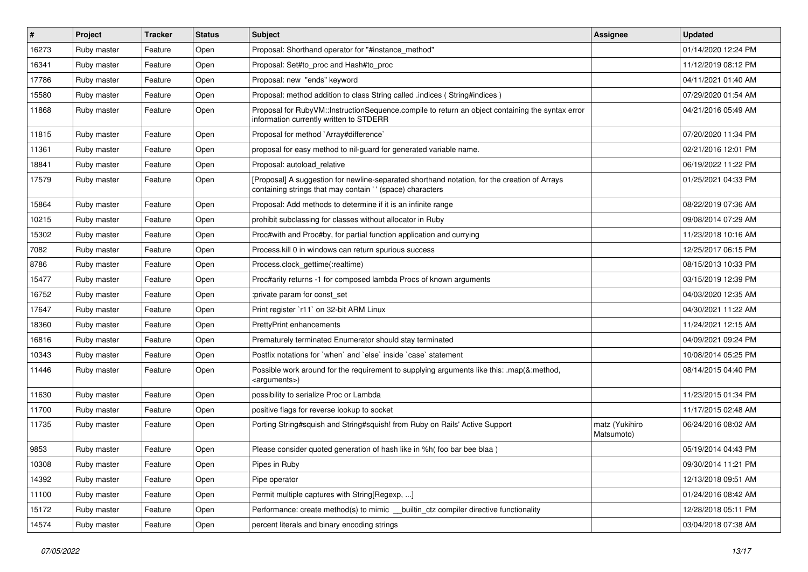| $\sharp$ | Project     | <b>Tracker</b> | <b>Status</b> | <b>Subject</b>                                                                                                                                            | <b>Assignee</b>              | <b>Updated</b>      |
|----------|-------------|----------------|---------------|-----------------------------------------------------------------------------------------------------------------------------------------------------------|------------------------------|---------------------|
| 16273    | Ruby master | Feature        | Open          | Proposal: Shorthand operator for "#instance_method"                                                                                                       |                              | 01/14/2020 12:24 PM |
| 16341    | Ruby master | Feature        | Open          | Proposal: Set#to_proc and Hash#to_proc                                                                                                                    |                              | 11/12/2019 08:12 PM |
| 17786    | Ruby master | Feature        | Open          | Proposal: new "ends" keyword                                                                                                                              |                              | 04/11/2021 01:40 AM |
| 15580    | Ruby master | Feature        | Open          | Proposal: method addition to class String called .indices (String#indices)                                                                                |                              | 07/29/2020 01:54 AM |
| 11868    | Ruby master | Feature        | Open          | Proposal for RubyVM::InstructionSequence.compile to return an object containing the syntax error<br>information currently written to STDERR               |                              | 04/21/2016 05:49 AM |
| 11815    | Ruby master | Feature        | Open          | Proposal for method `Array#difference`                                                                                                                    |                              | 07/20/2020 11:34 PM |
| 11361    | Ruby master | Feature        | Open          | proposal for easy method to nil-guard for generated variable name.                                                                                        |                              | 02/21/2016 12:01 PM |
| 18841    | Ruby master | Feature        | Open          | Proposal: autoload_relative                                                                                                                               |                              | 06/19/2022 11:22 PM |
| 17579    | Ruby master | Feature        | Open          | [Proposal] A suggestion for newline-separated shorthand notation, for the creation of Arrays<br>containing strings that may contain '' (space) characters |                              | 01/25/2021 04:33 PM |
| 15864    | Ruby master | Feature        | Open          | Proposal: Add methods to determine if it is an infinite range                                                                                             |                              | 08/22/2019 07:36 AM |
| 10215    | Ruby master | Feature        | Open          | prohibit subclassing for classes without allocator in Ruby                                                                                                |                              | 09/08/2014 07:29 AM |
| 15302    | Ruby master | Feature        | Open          | Proc#with and Proc#by, for partial function application and currying                                                                                      |                              | 11/23/2018 10:16 AM |
| 7082     | Ruby master | Feature        | Open          | Process. kill 0 in windows can return spurious success                                                                                                    |                              | 12/25/2017 06:15 PM |
| 8786     | Ruby master | Feature        | Open          | Process.clock_gettime(:realtime)                                                                                                                          |                              | 08/15/2013 10:33 PM |
| 15477    | Ruby master | Feature        | Open          | Proc#arity returns -1 for composed lambda Procs of known arguments                                                                                        |                              | 03/15/2019 12:39 PM |
| 16752    | Ruby master | Feature        | Open          | :private param for const_set                                                                                                                              |                              | 04/03/2020 12:35 AM |
| 17647    | Ruby master | Feature        | Open          | Print register `r11` on 32-bit ARM Linux                                                                                                                  |                              | 04/30/2021 11:22 AM |
| 18360    | Ruby master | Feature        | Open          | <b>PrettyPrint enhancements</b>                                                                                                                           |                              | 11/24/2021 12:15 AM |
| 16816    | Ruby master | Feature        | Open          | Prematurely terminated Enumerator should stay terminated                                                                                                  |                              | 04/09/2021 09:24 PM |
| 10343    | Ruby master | Feature        | Open          | Postfix notations for 'when' and 'else' inside 'case' statement                                                                                           |                              | 10/08/2014 05:25 PM |
| 11446    | Ruby master | Feature        | Open          | Possible work around for the requirement to supplying arguments like this: .map(&:method,<br><arguments>)</arguments>                                     |                              | 08/14/2015 04:40 PM |
| 11630    | Ruby master | Feature        | Open          | possibility to serialize Proc or Lambda                                                                                                                   |                              | 11/23/2015 01:34 PM |
| 11700    | Ruby master | Feature        | Open          | positive flags for reverse lookup to socket                                                                                                               |                              | 11/17/2015 02:48 AM |
| 11735    | Ruby master | Feature        | Open          | Porting String#squish and String#squish! from Ruby on Rails' Active Support                                                                               | matz (Yukihiro<br>Matsumoto) | 06/24/2016 08:02 AM |
| 9853     | Ruby master | Feature        | Open          | Please consider quoted generation of hash like in %h(foo bar bee blaa)                                                                                    |                              | 05/19/2014 04:43 PM |
| 10308    | Ruby master | Feature        | Open          | Pipes in Ruby                                                                                                                                             |                              | 09/30/2014 11:21 PM |
| 14392    | Ruby master | Feature        | Open          | Pipe operator                                                                                                                                             |                              | 12/13/2018 09:51 AM |
| 11100    | Ruby master | Feature        | Open          | Permit multiple captures with String[Regexp, ]                                                                                                            |                              | 01/24/2016 08:42 AM |
| 15172    | Ruby master | Feature        | Open          | Performance: create method(s) to mimic __builtin_ctz compiler directive functionality                                                                     |                              | 12/28/2018 05:11 PM |
| 14574    | Ruby master | Feature        | Open          | percent literals and binary encoding strings                                                                                                              |                              | 03/04/2018 07:38 AM |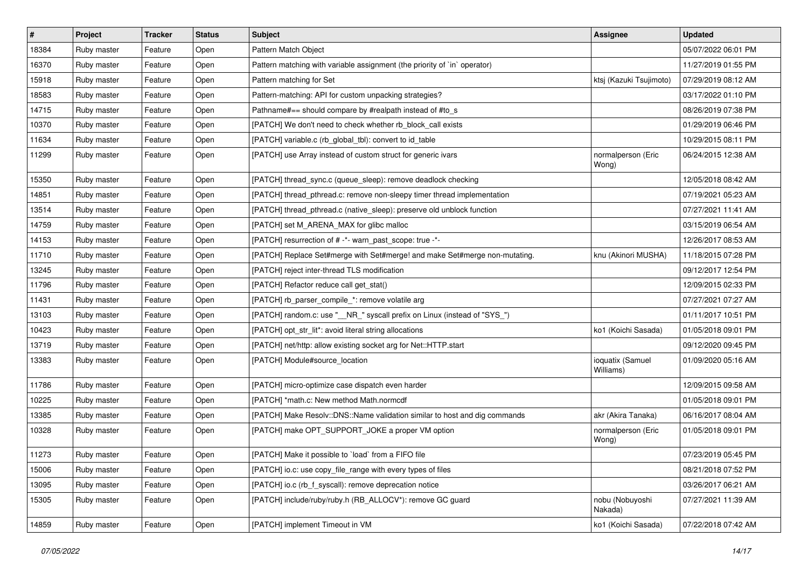| $\vert$ # | Project     | <b>Tracker</b> | <b>Status</b> | <b>Subject</b>                                                             | <b>Assignee</b>               | <b>Updated</b>      |
|-----------|-------------|----------------|---------------|----------------------------------------------------------------------------|-------------------------------|---------------------|
| 18384     | Ruby master | Feature        | Open          | Pattern Match Object                                                       |                               | 05/07/2022 06:01 PM |
| 16370     | Ruby master | Feature        | Open          | Pattern matching with variable assignment (the priority of `in` operator)  |                               | 11/27/2019 01:55 PM |
| 15918     | Ruby master | Feature        | Open          | Pattern matching for Set                                                   | ktsj (Kazuki Tsujimoto)       | 07/29/2019 08:12 AM |
| 18583     | Ruby master | Feature        | Open          | Pattern-matching: API for custom unpacking strategies?                     |                               | 03/17/2022 01:10 PM |
| 14715     | Ruby master | Feature        | Open          | Pathname#== should compare by #realpath instead of #to_s                   |                               | 08/26/2019 07:38 PM |
| 10370     | Ruby master | Feature        | Open          | [PATCH] We don't need to check whether rb_block_call exists                |                               | 01/29/2019 06:46 PM |
| 11634     | Ruby master | Feature        | Open          | [PATCH] variable.c (rb_global_tbl): convert to id_table                    |                               | 10/29/2015 08:11 PM |
| 11299     | Ruby master | Feature        | Open          | [PATCH] use Array instead of custom struct for generic ivars               | normalperson (Eric<br>Wong)   | 06/24/2015 12:38 AM |
| 15350     | Ruby master | Feature        | Open          | [PATCH] thread_sync.c (queue_sleep): remove deadlock checking              |                               | 12/05/2018 08:42 AM |
| 14851     | Ruby master | Feature        | Open          | [PATCH] thread_pthread.c: remove non-sleepy timer thread implementation    |                               | 07/19/2021 05:23 AM |
| 13514     | Ruby master | Feature        | Open          | [PATCH] thread_pthread.c (native_sleep): preserve old unblock function     |                               | 07/27/2021 11:41 AM |
| 14759     | Ruby master | Feature        | Open          | [PATCH] set M ARENA MAX for glibc malloc                                   |                               | 03/15/2019 06:54 AM |
| 14153     | Ruby master | Feature        | Open          | [PATCH] resurrection of # -*- warn_past_scope: true -*-                    |                               | 12/26/2017 08:53 AM |
| 11710     | Ruby master | Feature        | Open          | [PATCH] Replace Set#merge with Set#merge! and make Set#merge non-mutating. | knu (Akinori MUSHA)           | 11/18/2015 07:28 PM |
| 13245     | Ruby master | Feature        | Open          | [PATCH] reject inter-thread TLS modification                               |                               | 09/12/2017 12:54 PM |
| 11796     | Ruby master | Feature        | Open          | [PATCH] Refactor reduce call get_stat()                                    |                               | 12/09/2015 02:33 PM |
| 11431     | Ruby master | Feature        | Open          | [PATCH] rb_parser_compile_*: remove volatile arg                           |                               | 07/27/2021 07:27 AM |
| 13103     | Ruby master | Feature        | Open          | [PATCH] random.c: use "_NR_" syscall prefix on Linux (instead of "SYS_")   |                               | 01/11/2017 10:51 PM |
| 10423     | Ruby master | Feature        | Open          | [PATCH] opt_str_lit*: avoid literal string allocations                     | ko1 (Koichi Sasada)           | 01/05/2018 09:01 PM |
| 13719     | Ruby master | Feature        | Open          | [PATCH] net/http: allow existing socket arg for Net::HTTP.start            |                               | 09/12/2020 09:45 PM |
| 13383     | Ruby master | Feature        | Open          | [PATCH] Module#source_location                                             | ioquatix (Samuel<br>Williams) | 01/09/2020 05:16 AM |
| 11786     | Ruby master | Feature        | Open          | [PATCH] micro-optimize case dispatch even harder                           |                               | 12/09/2015 09:58 AM |
| 10225     | Ruby master | Feature        | Open          | [PATCH] *math.c: New method Math.normcdf                                   |                               | 01/05/2018 09:01 PM |
| 13385     | Ruby master | Feature        | Open          | [PATCH] Make Resolv::DNS::Name validation similar to host and dig commands | akr (Akira Tanaka)            | 06/16/2017 08:04 AM |
| 10328     | Ruby master | Feature        | Open          | [PATCH] make OPT_SUPPORT_JOKE a proper VM option                           | normalperson (Eric<br>Wong)   | 01/05/2018 09:01 PM |
| 11273     | Ruby master | Feature        | Open          | [PATCH] Make it possible to `load` from a FIFO file                        |                               | 07/23/2019 05:45 PM |
| 15006     | Ruby master | Feature        | Open          | [PATCH] io.c: use copy_file_range with every types of files                |                               | 08/21/2018 07:52 PM |
| 13095     | Ruby master | Feature        | Open          | [PATCH] io.c (rb f syscall): remove deprecation notice                     |                               | 03/26/2017 06:21 AM |
| 15305     | Ruby master | Feature        | Open          | [PATCH] include/ruby/ruby.h (RB ALLOCV*): remove GC guard                  | nobu (Nobuyoshi<br>Nakada)    | 07/27/2021 11:39 AM |
| 14859     | Ruby master | Feature        | Open          | [PATCH] implement Timeout in VM                                            | ko1 (Koichi Sasada)           | 07/22/2018 07:42 AM |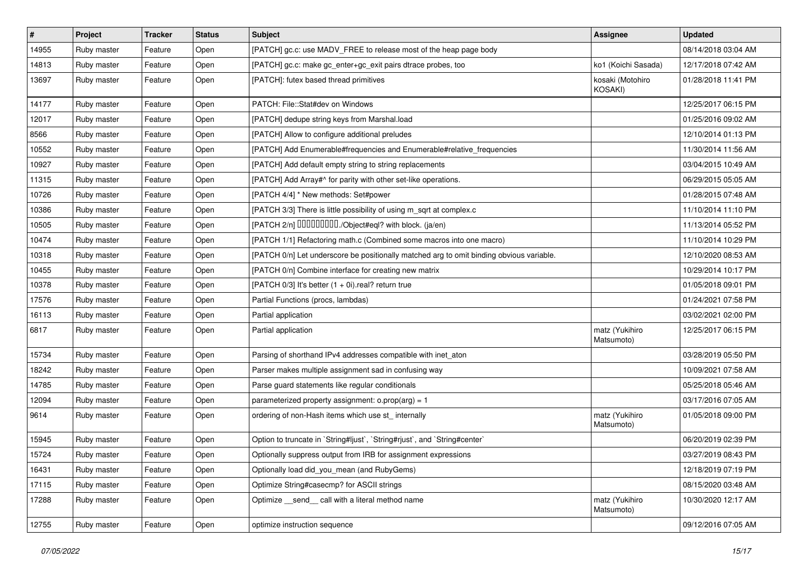| $\vert$ # | Project     | <b>Tracker</b> | <b>Status</b> | <b>Subject</b>                                                                           | <b>Assignee</b>              | <b>Updated</b>      |
|-----------|-------------|----------------|---------------|------------------------------------------------------------------------------------------|------------------------------|---------------------|
| 14955     | Ruby master | Feature        | Open          | [PATCH] gc.c: use MADV_FREE to release most of the heap page body                        |                              | 08/14/2018 03:04 AM |
| 14813     | Ruby master | Feature        | Open          | [PATCH] gc.c: make gc_enter+gc_exit pairs dtrace probes, too                             | ko1 (Koichi Sasada)          | 12/17/2018 07:42 AM |
| 13697     | Ruby master | Feature        | Open          | [PATCH]: futex based thread primitives                                                   | kosaki (Motohiro<br>KOSAKI)  | 01/28/2018 11:41 PM |
| 14177     | Ruby master | Feature        | Open          | PATCH: File::Stat#dev on Windows                                                         |                              | 12/25/2017 06:15 PM |
| 12017     | Ruby master | Feature        | Open          | [PATCH] dedupe string keys from Marshal.load                                             |                              | 01/25/2016 09:02 AM |
| 8566      | Ruby master | Feature        | Open          | [PATCH] Allow to configure additional preludes                                           |                              | 12/10/2014 01:13 PM |
| 10552     | Ruby master | Feature        | Open          | [PATCH] Add Enumerable#frequencies and Enumerable#relative_frequencies                   |                              | 11/30/2014 11:56 AM |
| 10927     | Ruby master | Feature        | Open          | [PATCH] Add default empty string to string replacements                                  |                              | 03/04/2015 10:49 AM |
| 11315     | Ruby master | Feature        | Open          | [PATCH] Add Array#^ for parity with other set-like operations.                           |                              | 06/29/2015 05:05 AM |
| 10726     | Ruby master | Feature        | Open          | [PATCH 4/4] * New methods: Set#power                                                     |                              | 01/28/2015 07:48 AM |
| 10386     | Ruby master | Feature        | Open          | [PATCH 3/3] There is little possibility of using m_sqrt at complex.c                     |                              | 11/10/2014 11:10 PM |
| 10505     | Ruby master | Feature        | Open          | [PATCH 2/n] DDDDDDDD./Object#eql? with block. (ja/en)                                    |                              | 11/13/2014 05:52 PM |
| 10474     | Ruby master | Feature        | Open          | [PATCH 1/1] Refactoring math.c (Combined some macros into one macro)                     |                              | 11/10/2014 10:29 PM |
| 10318     | Ruby master | Feature        | Open          | [PATCH 0/n] Let underscore be positionally matched arg to omit binding obvious variable. |                              | 12/10/2020 08:53 AM |
| 10455     | Ruby master | Feature        | Open          | [PATCH 0/n] Combine interface for creating new matrix                                    |                              | 10/29/2014 10:17 PM |
| 10378     | Ruby master | Feature        | Open          | [PATCH 0/3] It's better $(1 + 0i)$ real? return true                                     |                              | 01/05/2018 09:01 PM |
| 17576     | Ruby master | Feature        | Open          | Partial Functions (procs, lambdas)                                                       |                              | 01/24/2021 07:58 PM |
| 16113     | Ruby master | Feature        | Open          | Partial application                                                                      |                              | 03/02/2021 02:00 PM |
| 6817      | Ruby master | Feature        | Open          | Partial application                                                                      | matz (Yukihiro<br>Matsumoto) | 12/25/2017 06:15 PM |
| 15734     | Ruby master | Feature        | Open          | Parsing of shorthand IPv4 addresses compatible with inet_aton                            |                              | 03/28/2019 05:50 PM |
| 18242     | Ruby master | Feature        | Open          | Parser makes multiple assignment sad in confusing way                                    |                              | 10/09/2021 07:58 AM |
| 14785     | Ruby master | Feature        | Open          | Parse guard statements like regular conditionals                                         |                              | 05/25/2018 05:46 AM |
| 12094     | Ruby master | Feature        | Open          | parameterized property assignment: $o.prop(arg) = 1$                                     |                              | 03/17/2016 07:05 AM |
| 9614      | Ruby master | Feature        | Open          | ordering of non-Hash items which use st_ internally                                      | matz (Yukihiro<br>Matsumoto) | 01/05/2018 09:00 PM |
| 15945     | Ruby master | Feature        | Open          | Option to truncate in `String#ljust`, `String#rjust`, and `String#center`                |                              | 06/20/2019 02:39 PM |
| 15724     | Ruby master | Feature        | Open          | Optionally suppress output from IRB for assignment expressions                           |                              | 03/27/2019 08:43 PM |
| 16431     | Ruby master | Feature        | Open          | Optionally load did you mean (and RubyGems)                                              |                              | 12/18/2019 07:19 PM |
| 17115     | Ruby master | Feature        | Open          | Optimize String#casecmp? for ASCII strings                                               |                              | 08/15/2020 03:48 AM |
| 17288     | Ruby master | Feature        | Open          | Optimize send call with a literal method name                                            | matz (Yukihiro<br>Matsumoto) | 10/30/2020 12:17 AM |
| 12755     | Ruby master | Feature        | Open          | optimize instruction sequence                                                            |                              | 09/12/2016 07:05 AM |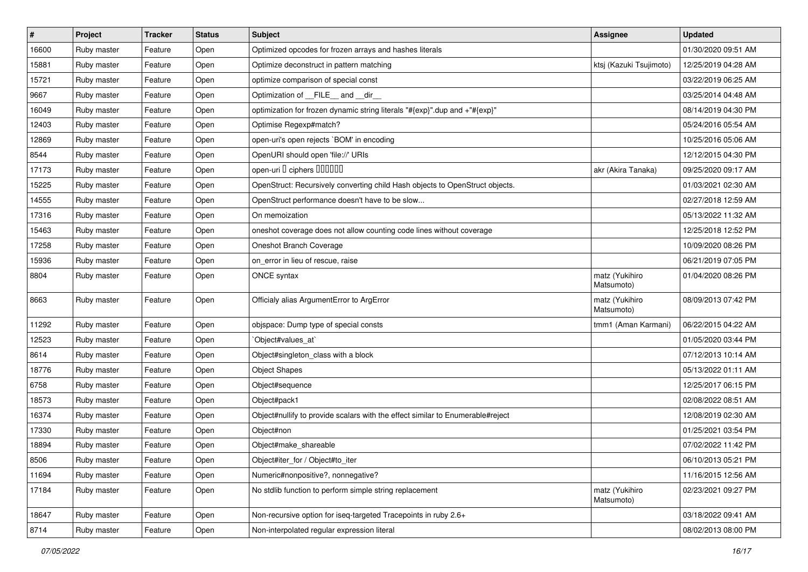| $\sharp$ | Project     | <b>Tracker</b> | <b>Status</b> | <b>Subject</b>                                                                 | <b>Assignee</b>              | <b>Updated</b>      |
|----------|-------------|----------------|---------------|--------------------------------------------------------------------------------|------------------------------|---------------------|
| 16600    | Ruby master | Feature        | Open          | Optimized opcodes for frozen arrays and hashes literals                        |                              | 01/30/2020 09:51 AM |
| 15881    | Ruby master | Feature        | Open          | Optimize deconstruct in pattern matching                                       | ktsj (Kazuki Tsujimoto)      | 12/25/2019 04:28 AM |
| 15721    | Ruby master | Feature        | Open          | optimize comparison of special const                                           |                              | 03/22/2019 06:25 AM |
| 9667     | Ruby master | Feature        | Open          | Optimization of FILE and dir                                                   |                              | 03/25/2014 04:48 AM |
| 16049    | Ruby master | Feature        | Open          | optimization for frozen dynamic string literals "#{exp}".dup and +"#{exp}"     |                              | 08/14/2019 04:30 PM |
| 12403    | Ruby master | Feature        | Open          | Optimise Regexp#match?                                                         |                              | 05/24/2016 05:54 AM |
| 12869    | Ruby master | Feature        | Open          | open-uri's open rejects `BOM' in encoding                                      |                              | 10/25/2016 05:06 AM |
| 8544     | Ruby master | Feature        | Open          | OpenURI should open 'file://' URIs                                             |                              | 12/12/2015 04:30 PM |
| 17173    | Ruby master | Feature        | Open          | open-uri I ciphers IIIIIII                                                     | akr (Akira Tanaka)           | 09/25/2020 09:17 AM |
| 15225    | Ruby master | Feature        | Open          | OpenStruct: Recursively converting child Hash objects to OpenStruct objects.   |                              | 01/03/2021 02:30 AM |
| 14555    | Ruby master | Feature        | Open          | OpenStruct performance doesn't have to be slow                                 |                              | 02/27/2018 12:59 AM |
| 17316    | Ruby master | Feature        | Open          | On memoization                                                                 |                              | 05/13/2022 11:32 AM |
| 15463    | Ruby master | Feature        | Open          | oneshot coverage does not allow counting code lines without coverage           |                              | 12/25/2018 12:52 PM |
| 17258    | Ruby master | Feature        | Open          | Oneshot Branch Coverage                                                        |                              | 10/09/2020 08:26 PM |
| 15936    | Ruby master | Feature        | Open          | on_error in lieu of rescue, raise                                              |                              | 06/21/2019 07:05 PM |
| 8804     | Ruby master | Feature        | Open          | <b>ONCE syntax</b>                                                             | matz (Yukihiro<br>Matsumoto) | 01/04/2020 08:26 PM |
| 8663     | Ruby master | Feature        | Open          | Officialy alias ArgumentError to ArgError                                      | matz (Yukihiro<br>Matsumoto) | 08/09/2013 07:42 PM |
| 11292    | Ruby master | Feature        | Open          | objspace: Dump type of special consts                                          | tmm1 (Aman Karmani)          | 06/22/2015 04:22 AM |
| 12523    | Ruby master | Feature        | Open          | Object#values at`                                                              |                              | 01/05/2020 03:44 PM |
| 8614     | Ruby master | Feature        | Open          | Object#singleton_class with a block                                            |                              | 07/12/2013 10:14 AM |
| 18776    | Ruby master | Feature        | Open          | <b>Object Shapes</b>                                                           |                              | 05/13/2022 01:11 AM |
| 6758     | Ruby master | Feature        | Open          | Object#sequence                                                                |                              | 12/25/2017 06:15 PM |
| 18573    | Ruby master | Feature        | Open          | Object#pack1                                                                   |                              | 02/08/2022 08:51 AM |
| 16374    | Ruby master | Feature        | Open          | Object#nullify to provide scalars with the effect similar to Enumerable#reject |                              | 12/08/2019 02:30 AM |
| 17330    | Ruby master | Feature        | Open          | Object#non                                                                     |                              | 01/25/2021 03:54 PM |
| 18894    | Ruby master | Feature        | Open          | Object#make_shareable                                                          |                              | 07/02/2022 11:42 PM |
| 8506     | Ruby master | Feature        | Open          | Object#iter_for / Object#to_iter                                               |                              | 06/10/2013 05:21 PM |
| 11694    | Ruby master | Feature        | Open          | Numeric#nonpositive?, nonnegative?                                             |                              | 11/16/2015 12:56 AM |
| 17184    | Ruby master | Feature        | Open          | No stdlib function to perform simple string replacement                        | matz (Yukihiro<br>Matsumoto) | 02/23/2021 09:27 PM |
| 18647    | Ruby master | Feature        | Open          | Non-recursive option for iseq-targeted Tracepoints in ruby 2.6+                |                              | 03/18/2022 09:41 AM |
| 8714     | Ruby master | Feature        | Open          | Non-interpolated regular expression literal                                    |                              | 08/02/2013 08:00 PM |